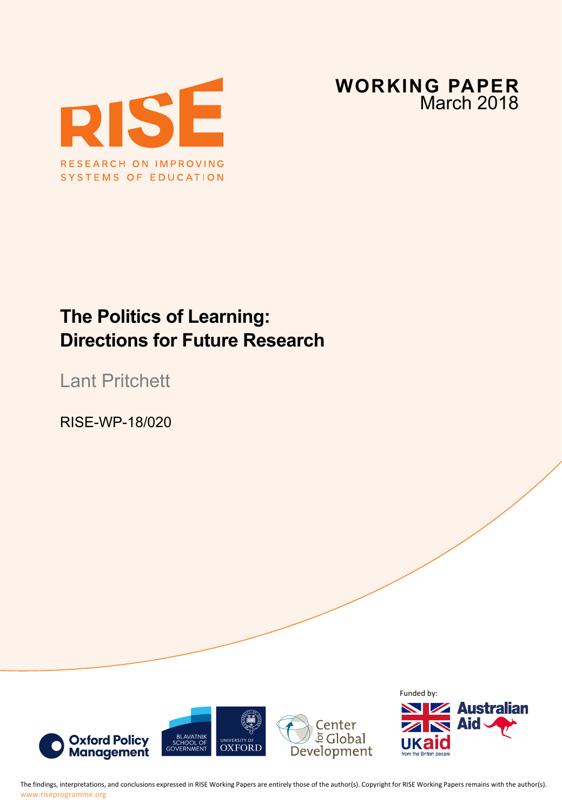



# **The Politics of Learning: Directions for Future Research**

Lant Pritchett

RISE-WP-18/020



The findings, interpretations, and conclusions expressed in RISE Working Papers are entirely those of the author(s). Copyright for RISE Working Papers remains with the author(s). www.riseprogramme.org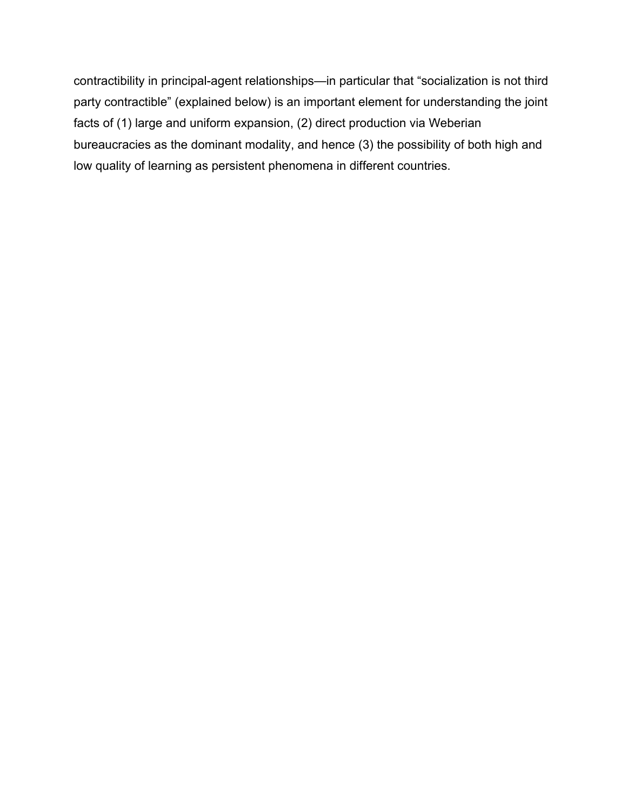contractibility in principal-agent relationships—in particular that "socialization is not third party contractible" (explained below) is an important element for understanding the joint facts of (1) large and uniform expansion, (2) direct production via Weberian bureaucracies as the dominant modality, and hence (3) the possibility of both high and low quality of learning as persistent phenomena in different countries.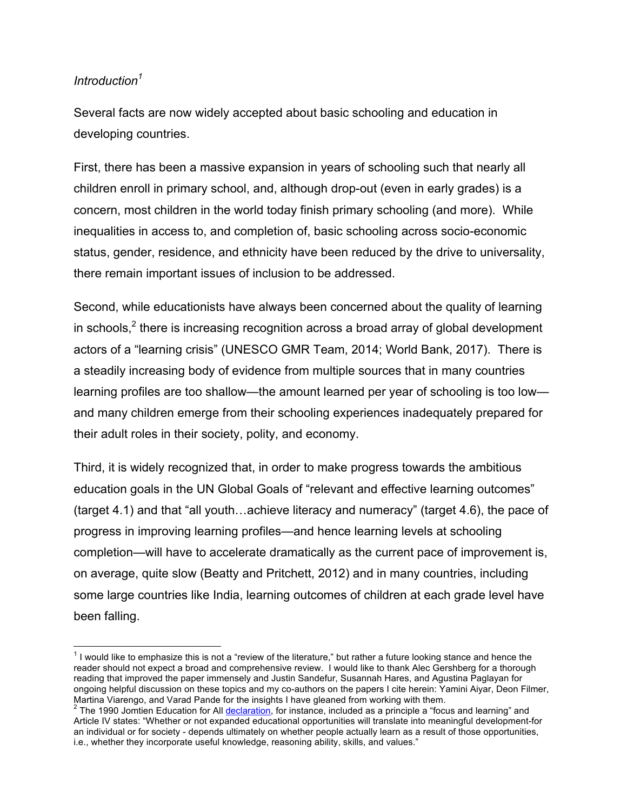### *Introduction<sup>1</sup>*

Several facts are now widely accepted about basic schooling and education in developing countries.

First, there has been a massive expansion in years of schooling such that nearly all children enroll in primary school, and, although drop-out (even in early grades) is a concern, most children in the world today finish primary schooling (and more). While inequalities in access to, and completion of, basic schooling across socio-economic status, gender, residence, and ethnicity have been reduced by the drive to universality, there remain important issues of inclusion to be addressed.

Second, while educationists have always been concerned about the quality of learning in schools,<sup>2</sup> there is increasing recognition across a broad array of global development actors of a "learning crisis" (UNESCO GMR Team, 2014; World Bank, 2017). There is a steadily increasing body of evidence from multiple sources that in many countries learning profiles are too shallow—the amount learned per year of schooling is too low and many children emerge from their schooling experiences inadequately prepared for their adult roles in their society, polity, and economy.

Third, it is widely recognized that, in order to make progress towards the ambitious education goals in the UN Global Goals of "relevant and effective learning outcomes" (target 4.1) and that "all youth…achieve literacy and numeracy" (target 4.6), the pace of progress in improving learning profiles—and hence learning levels at schooling completion—will have to accelerate dramatically as the current pace of improvement is, on average, quite slow (Beatty and Pritchett, 2012) and in many countries, including some large countries like India, learning outcomes of children at each grade level have been falling.

 $1$  I would like to emphasize this is not a "review of the literature," but rather a future looking stance and hence the reader should not expect a broad and comprehensive review. I would like to thank Alec Gershberg for a thorough reading that improved the paper immensely and Justin Sandefur, Susannah Hares, and Agustina Paglayan for ongoing helpful discussion on these topics and my co-authors on the papers I cite herein: Yamini Aiyar, Deon Filmer, Martina Viarengo, and Varad Pande for the insights I have gleaned from working with them.

<sup>&</sup>lt;sup>2</sup> The 1990 Jomtien Education for All declaration, for instance, included as a principle a "focus and learning" and Article IV states: "Whether or not expanded educational opportunities will translate into meaningful development-for an individual or for society - depends ultimately on whether people actually learn as a result of those opportunities, i.e., whether they incorporate useful knowledge, reasoning ability, skills, and values."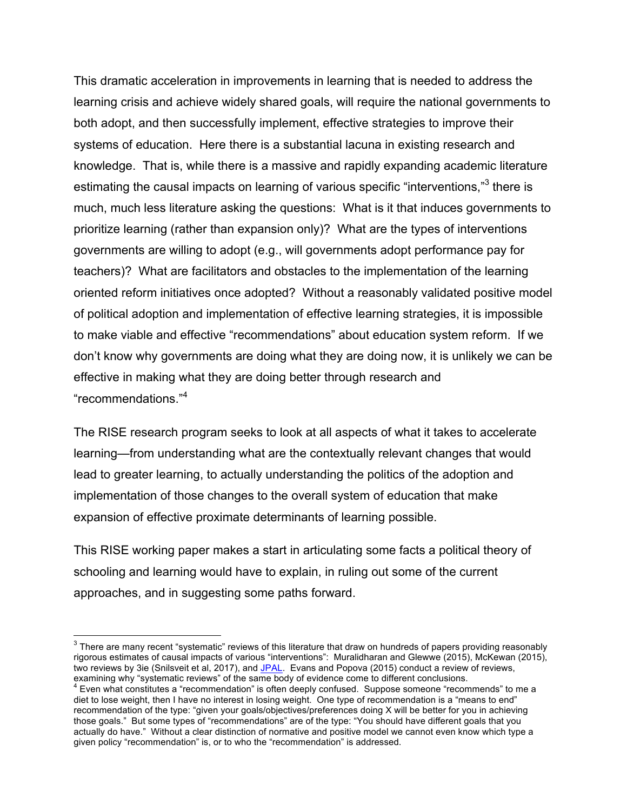This dramatic acceleration in improvements in learning that is needed to address the learning crisis and achieve widely shared goals, will require the national governments to both adopt, and then successfully implement, effective strategies to improve their systems of education. Here there is a substantial lacuna in existing research and knowledge. That is, while there is a massive and rapidly expanding academic literature estimating the causal impacts on learning of various specific "interventions,"<sup>3</sup> there is much, much less literature asking the questions: What is it that induces governments to prioritize learning (rather than expansion only)? What are the types of interventions governments are willing to adopt (e.g., will governments adopt performance pay for teachers)? What are facilitators and obstacles to the implementation of the learning oriented reform initiatives once adopted? Without a reasonably validated positive model of political adoption and implementation of effective learning strategies, it is impossible to make viable and effective "recommendations" about education system reform. If we don't know why governments are doing what they are doing now, it is unlikely we can be effective in making what they are doing better through research and "recommendations."<sup>4</sup>

The RISE research program seeks to look at all aspects of what it takes to accelerate learning—from understanding what are the contextually relevant changes that would lead to greater learning, to actually understanding the politics of the adoption and implementation of those changes to the overall system of education that make expansion of effective proximate determinants of learning possible.

This RISE working paper makes a start in articulating some facts a political theory of schooling and learning would have to explain, in ruling out some of the current approaches, and in suggesting some paths forward.

<sup>&</sup>lt;sup>3</sup> There are many recent "systematic" reviews of this literature that draw on hundreds of papers providing reasonably rigorous estimates of causal impacts of various "interventions": Muralidharan and Glewwe (2015), McKewan (2015), two reviews by 3ie (Snilsveit et al, 2017), and JPAL. Evans and Popova (2015) conduct a review of reviews,

examining why "systematic reviews" of the same body of evidence come to different conclusions.<br><sup>4</sup> Even what constitutes a "recommendation" is often deeply confused. Suppose someone "recommends" to me a diet to lose weight, then I have no interest in losing weight. One type of recommendation is a "means to end" recommendation of the type: "given your goals/objectives/preferences doing X will be better for you in achieving those goals." But some types of "recommendations" are of the type: "You should have different goals that you actually do have." Without a clear distinction of normative and positive model we cannot even know which type a given policy "recommendation" is, or to who the "recommendation" is addressed.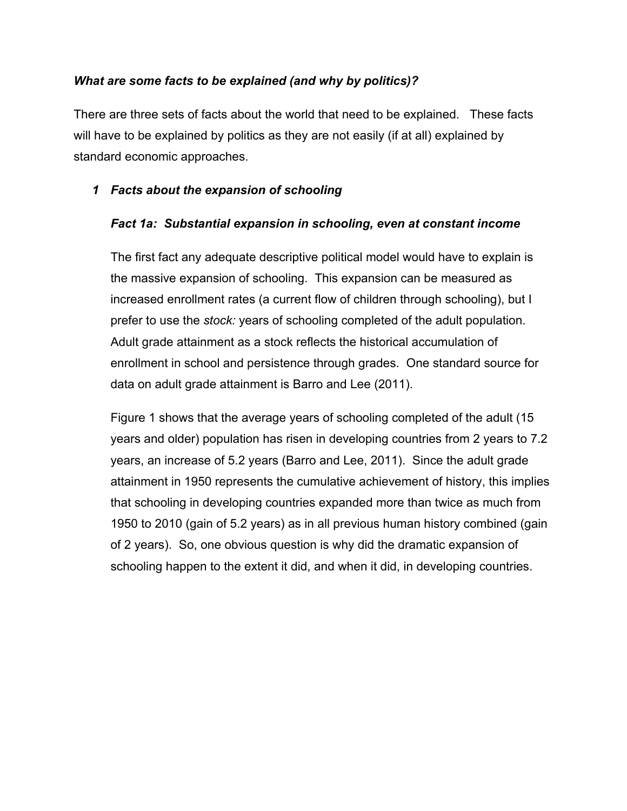### *What are some facts to be explained (and why by politics)?*

There are three sets of facts about the world that need to be explained. These facts will have to be explained by politics as they are not easily (if at all) explained by standard economic approaches.

### *1 Facts about the expansion of schooling*

#### *Fact 1a: Substantial expansion in schooling, even at constant income*

The first fact any adequate descriptive political model would have to explain is the massive expansion of schooling. This expansion can be measured as increased enrollment rates (a current flow of children through schooling), but I prefer to use the *stock:* years of schooling completed of the adult population. Adult grade attainment as a stock reflects the historical accumulation of enrollment in school and persistence through grades. One standard source for data on adult grade attainment is Barro and Lee (2011).

Figure 1 shows that the average years of schooling completed of the adult (15 years and older) population has risen in developing countries from 2 years to 7.2 years, an increase of 5.2 years (Barro and Lee, 2011). Since the adult grade attainment in 1950 represents the cumulative achievement of history, this implies that schooling in developing countries expanded more than twice as much from 1950 to 2010 (gain of 5.2 years) as in all previous human history combined (gain of 2 years). So, one obvious question is why did the dramatic expansion of schooling happen to the extent it did, and when it did, in developing countries.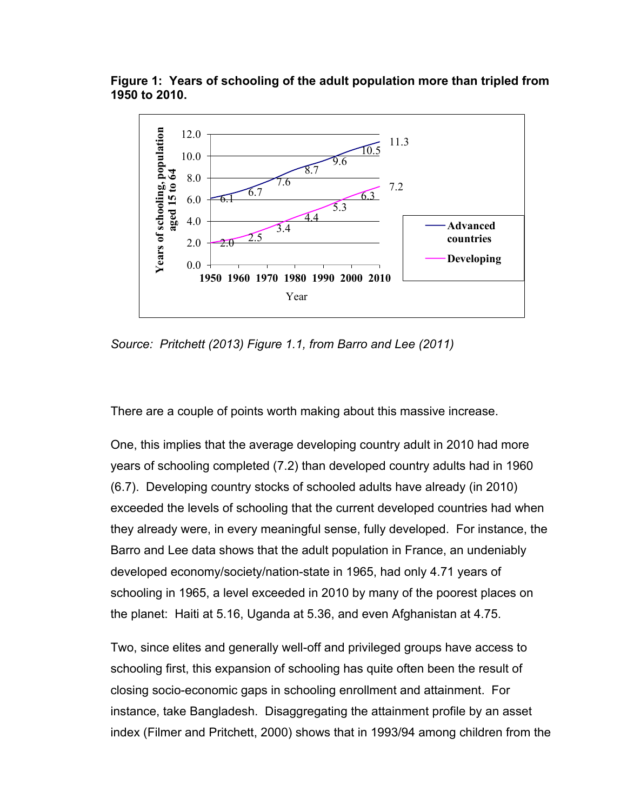**Figure 1: Years of schooling of the adult population more than tripled from 1950 to 2010.**



*Source: Pritchett (2013) Figure 1.1, from Barro and Lee (2011)*

There are a couple of points worth making about this massive increase.

One, this implies that the average developing country adult in 2010 had more years of schooling completed (7.2) than developed country adults had in 1960 (6.7). Developing country stocks of schooled adults have already (in 2010) exceeded the levels of schooling that the current developed countries had when they already were, in every meaningful sense, fully developed. For instance, the Barro and Lee data shows that the adult population in France, an undeniably developed economy/society/nation-state in 1965, had only 4.71 years of schooling in 1965, a level exceeded in 2010 by many of the poorest places on the planet: Haiti at 5.16, Uganda at 5.36, and even Afghanistan at 4.75.

Two, since elites and generally well-off and privileged groups have access to schooling first, this expansion of schooling has quite often been the result of closing socio-economic gaps in schooling enrollment and attainment. For instance, take Bangladesh. Disaggregating the attainment profile by an asset index (Filmer and Pritchett, 2000) shows that in 1993/94 among children from the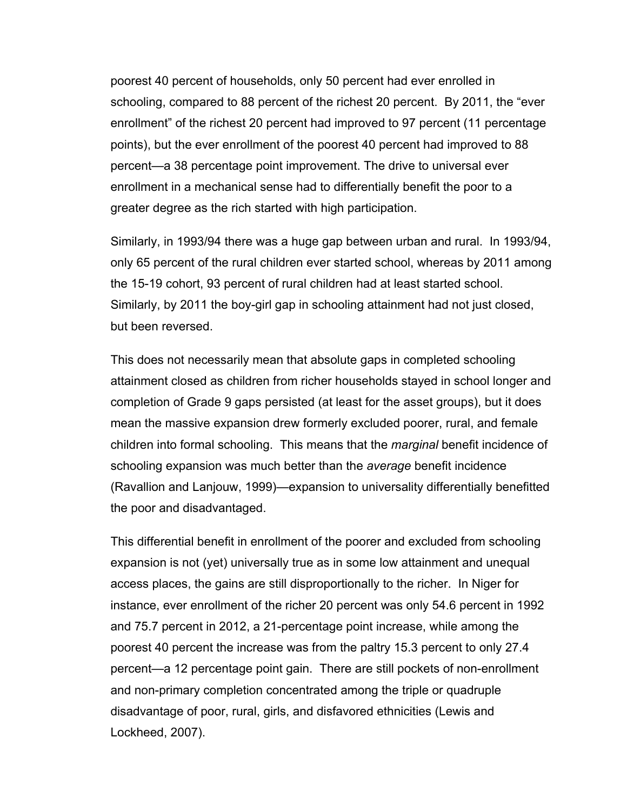poorest 40 percent of households, only 50 percent had ever enrolled in schooling, compared to 88 percent of the richest 20 percent. By 2011, the "ever enrollment" of the richest 20 percent had improved to 97 percent (11 percentage points), but the ever enrollment of the poorest 40 percent had improved to 88 percent—a 38 percentage point improvement. The drive to universal ever enrollment in a mechanical sense had to differentially benefit the poor to a greater degree as the rich started with high participation.

Similarly, in 1993/94 there was a huge gap between urban and rural. In 1993/94, only 65 percent of the rural children ever started school, whereas by 2011 among the 15-19 cohort, 93 percent of rural children had at least started school. Similarly, by 2011 the boy-girl gap in schooling attainment had not just closed, but been reversed.

This does not necessarily mean that absolute gaps in completed schooling attainment closed as children from richer households stayed in school longer and completion of Grade 9 gaps persisted (at least for the asset groups), but it does mean the massive expansion drew formerly excluded poorer, rural, and female children into formal schooling. This means that the *marginal* benefit incidence of schooling expansion was much better than the *average* benefit incidence (Ravallion and Lanjouw, 1999)—expansion to universality differentially benefitted the poor and disadvantaged.

This differential benefit in enrollment of the poorer and excluded from schooling expansion is not (yet) universally true as in some low attainment and unequal access places, the gains are still disproportionally to the richer. In Niger for instance, ever enrollment of the richer 20 percent was only 54.6 percent in 1992 and 75.7 percent in 2012, a 21-percentage point increase, while among the poorest 40 percent the increase was from the paltry 15.3 percent to only 27.4 percent—a 12 percentage point gain. There are still pockets of non-enrollment and non-primary completion concentrated among the triple or quadruple disadvantage of poor, rural, girls, and disfavored ethnicities (Lewis and Lockheed, 2007).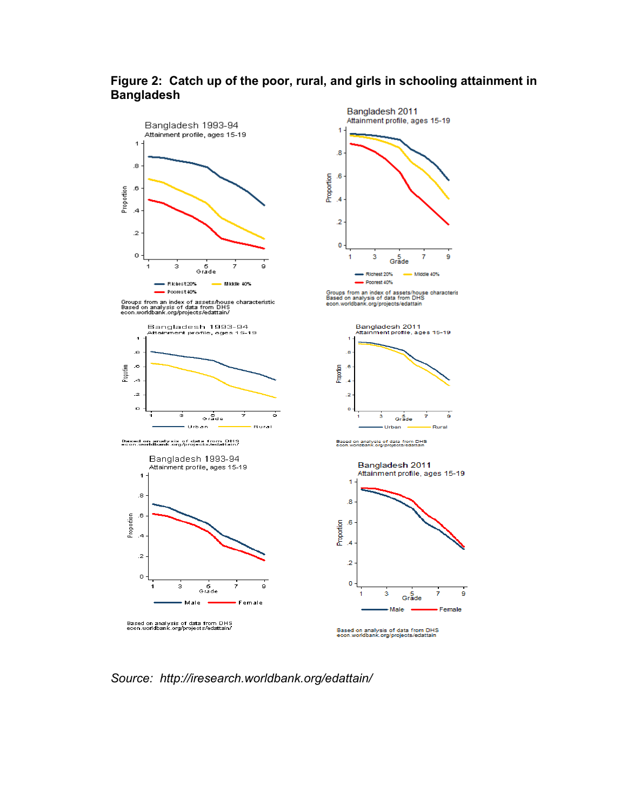

### **Figure 2: Catch up of the poor, rural, and girls in schooling attainment in Bangladesh**

*Source: http://iresearch.worldbank.org/edattain/*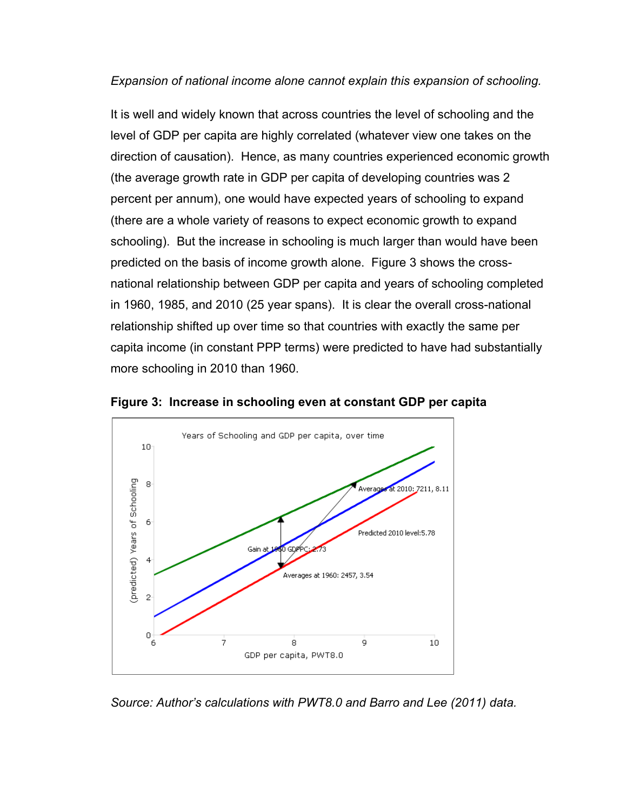### *Expansion of national income alone cannot explain this expansion of schooling.*

It is well and widely known that across countries the level of schooling and the level of GDP per capita are highly correlated (whatever view one takes on the direction of causation). Hence, as many countries experienced economic growth (the average growth rate in GDP per capita of developing countries was 2 percent per annum), one would have expected years of schooling to expand (there are a whole variety of reasons to expect economic growth to expand schooling). But the increase in schooling is much larger than would have been predicted on the basis of income growth alone. Figure 3 shows the crossnational relationship between GDP per capita and years of schooling completed in 1960, 1985, and 2010 (25 year spans). It is clear the overall cross-national relationship shifted up over time so that countries with exactly the same per capita income (in constant PPP terms) were predicted to have had substantially more schooling in 2010 than 1960.



**Figure 3: Increase in schooling even at constant GDP per capita**

*Source: Author's calculations with PWT8.0 and Barro and Lee (2011) data.*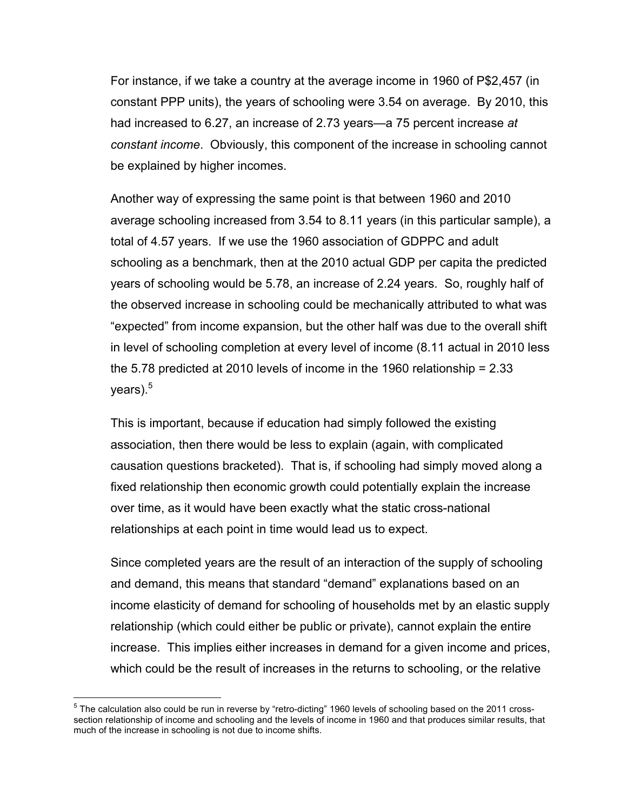For instance, if we take a country at the average income in 1960 of P\$2,457 (in constant PPP units), the years of schooling were 3.54 on average. By 2010, this had increased to 6.27, an increase of 2.73 years—a 75 percent increase *at constant income*. Obviously, this component of the increase in schooling cannot be explained by higher incomes.

Another way of expressing the same point is that between 1960 and 2010 average schooling increased from 3.54 to 8.11 years (in this particular sample), a total of 4.57 years. If we use the 1960 association of GDPPC and adult schooling as a benchmark, then at the 2010 actual GDP per capita the predicted years of schooling would be 5.78, an increase of 2.24 years. So, roughly half of the observed increase in schooling could be mechanically attributed to what was "expected" from income expansion, but the other half was due to the overall shift in level of schooling completion at every level of income (8.11 actual in 2010 less the 5.78 predicted at 2010 levels of income in the 1960 relationship = 2.33 years).<sup>5</sup>

This is important, because if education had simply followed the existing association, then there would be less to explain (again, with complicated causation questions bracketed). That is, if schooling had simply moved along a fixed relationship then economic growth could potentially explain the increase over time, as it would have been exactly what the static cross-national relationships at each point in time would lead us to expect.

Since completed years are the result of an interaction of the supply of schooling and demand, this means that standard "demand" explanations based on an income elasticity of demand for schooling of households met by an elastic supply relationship (which could either be public or private), cannot explain the entire increase. This implies either increases in demand for a given income and prices, which could be the result of increases in the returns to schooling, or the relative

 $5$  The calculation also could be run in reverse by "retro-dicting" 1960 levels of schooling based on the 2011 crosssection relationship of income and schooling and the levels of income in 1960 and that produces similar results, that much of the increase in schooling is not due to income shifts.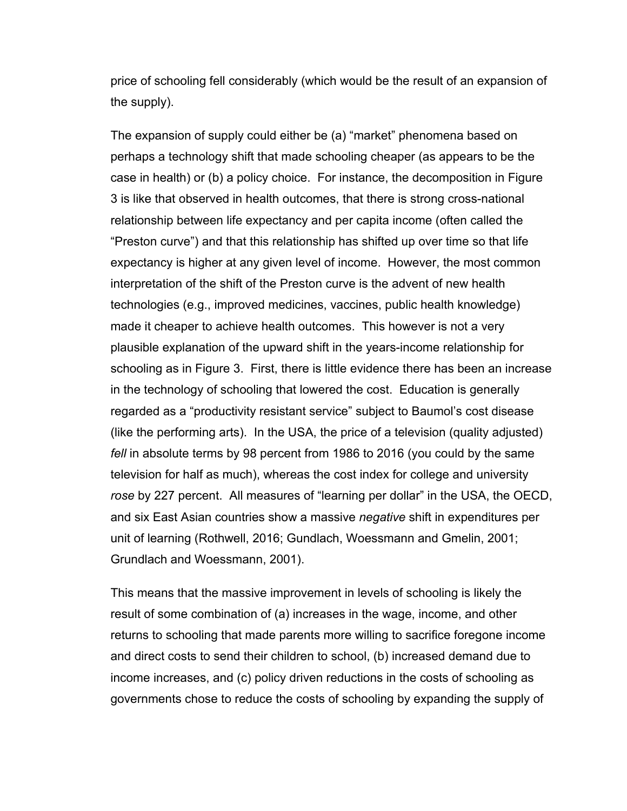price of schooling fell considerably (which would be the result of an expansion of the supply).

The expansion of supply could either be (a) "market" phenomena based on perhaps a technology shift that made schooling cheaper (as appears to be the case in health) or (b) a policy choice. For instance, the decomposition in Figure 3 is like that observed in health outcomes, that there is strong cross-national relationship between life expectancy and per capita income (often called the "Preston curve") and that this relationship has shifted up over time so that life expectancy is higher at any given level of income. However, the most common interpretation of the shift of the Preston curve is the advent of new health technologies (e.g., improved medicines, vaccines, public health knowledge) made it cheaper to achieve health outcomes. This however is not a very plausible explanation of the upward shift in the years-income relationship for schooling as in Figure 3. First, there is little evidence there has been an increase in the technology of schooling that lowered the cost. Education is generally regarded as a "productivity resistant service" subject to Baumol's cost disease (like the performing arts). In the USA, the price of a television (quality adjusted) *fell* in absolute terms by 98 percent from 1986 to 2016 (you could by the same television for half as much), whereas the cost index for college and university *rose* by 227 percent. All measures of "learning per dollar" in the USA, the OECD, and six East Asian countries show a massive *negative* shift in expenditures per unit of learning (Rothwell, 2016; Gundlach, Woessmann and Gmelin, 2001; Grundlach and Woessmann, 2001).

This means that the massive improvement in levels of schooling is likely the result of some combination of (a) increases in the wage, income, and other returns to schooling that made parents more willing to sacrifice foregone income and direct costs to send their children to school, (b) increased demand due to income increases, and (c) policy driven reductions in the costs of schooling as governments chose to reduce the costs of schooling by expanding the supply of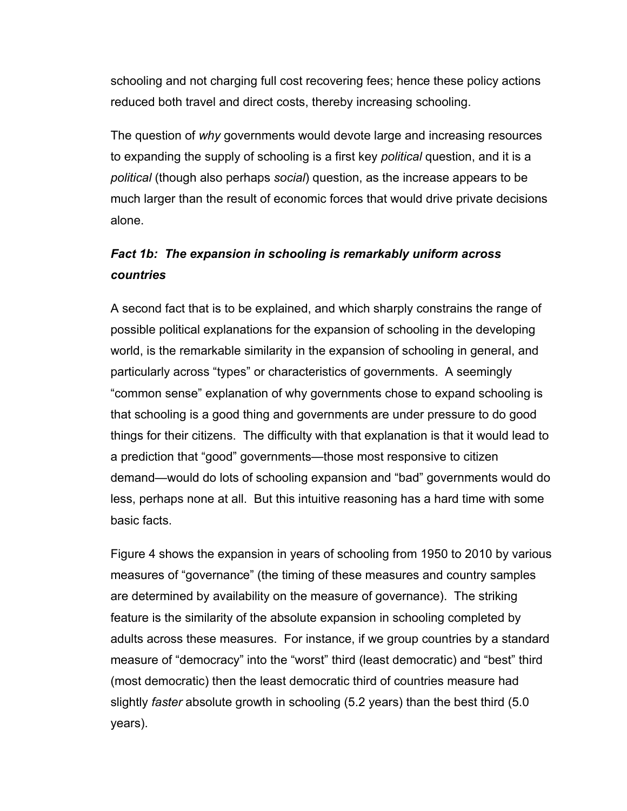schooling and not charging full cost recovering fees; hence these policy actions reduced both travel and direct costs, thereby increasing schooling.

The question of *why* governments would devote large and increasing resources to expanding the supply of schooling is a first key *political* question, and it is a *political* (though also perhaps *social*) question, as the increase appears to be much larger than the result of economic forces that would drive private decisions alone.

# *Fact 1b: The expansion in schooling is remarkably uniform across countries*

A second fact that is to be explained, and which sharply constrains the range of possible political explanations for the expansion of schooling in the developing world, is the remarkable similarity in the expansion of schooling in general, and particularly across "types" or characteristics of governments. A seemingly "common sense" explanation of why governments chose to expand schooling is that schooling is a good thing and governments are under pressure to do good things for their citizens. The difficulty with that explanation is that it would lead to a prediction that "good" governments—those most responsive to citizen demand—would do lots of schooling expansion and "bad" governments would do less, perhaps none at all. But this intuitive reasoning has a hard time with some basic facts.

Figure 4 shows the expansion in years of schooling from 1950 to 2010 by various measures of "governance" (the timing of these measures and country samples are determined by availability on the measure of governance). The striking feature is the similarity of the absolute expansion in schooling completed by adults across these measures. For instance, if we group countries by a standard measure of "democracy" into the "worst" third (least democratic) and "best" third (most democratic) then the least democratic third of countries measure had slightly *faster* absolute growth in schooling (5.2 years) than the best third (5.0 years).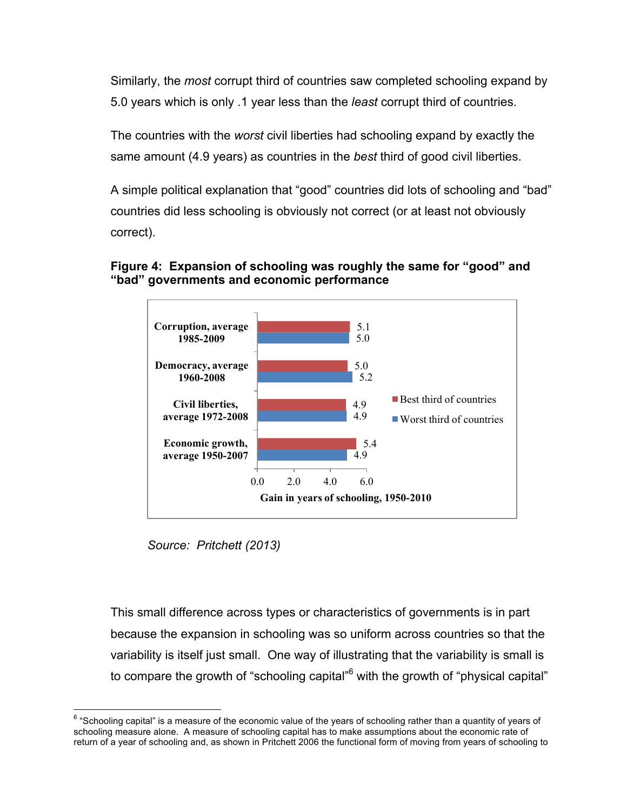Similarly, the *most* corrupt third of countries saw completed schooling expand by 5.0 years which is only .1 year less than the *least* corrupt third of countries.

The countries with the *worst* civil liberties had schooling expand by exactly the same amount (4.9 years) as countries in the *best* third of good civil liberties.

A simple political explanation that "good" countries did lots of schooling and "bad" countries did less schooling is obviously not correct (or at least not obviously correct).



### **Figure 4: Expansion of schooling was roughly the same for "good" and "bad" governments and economic performance**

*Source: Pritchett (2013)* 

This small difference across types or characteristics of governments is in part because the expansion in schooling was so uniform across countries so that the variability is itself just small. One way of illustrating that the variability is small is to compare the growth of "schooling capital"<sup>6</sup> with the growth of "physical capital"

 $6$  "Schooling capital" is a measure of the economic value of the years of schooling rather than a quantity of years of schooling measure alone. A measure of schooling capital has to make assumptions about the economic rate of return of a year of schooling and, as shown in Pritchett 2006 the functional form of moving from years of schooling to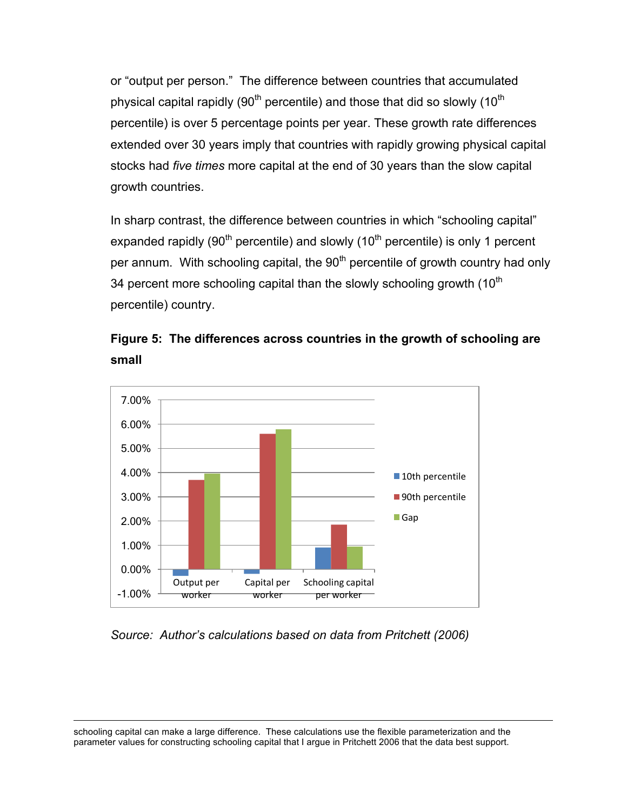or "output per person." The difference between countries that accumulated physical capital rapidly (90<sup>th</sup> percentile) and those that did so slowly (10<sup>th</sup>) percentile) is over 5 percentage points per year. These growth rate differences extended over 30 years imply that countries with rapidly growing physical capital stocks had *five times* more capital at the end of 30 years than the slow capital growth countries.

In sharp contrast, the difference between countries in which "schooling capital" expanded rapidly (90<sup>th</sup> percentile) and slowly (10<sup>th</sup> percentile) is only 1 percent per annum. With schooling capital, the  $90<sup>th</sup>$  percentile of growth country had only 34 percent more schooling capital than the slowly schooling growth  $(10<sup>th</sup>)$ percentile) country.





### *Source: Author's calculations based on data from Pritchett (2006)*

schooling capital can make a large difference. These calculations use the flexible parameterization and the parameter values for constructing schooling capital that I argue in Pritchett 2006 that the data best support.

 $\overline{a}$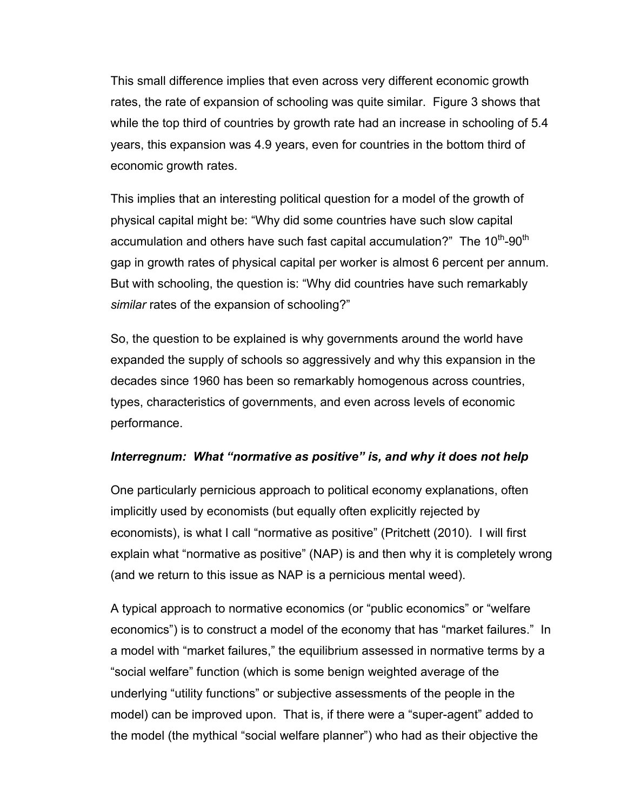This small difference implies that even across very different economic growth rates, the rate of expansion of schooling was quite similar. Figure 3 shows that while the top third of countries by growth rate had an increase in schooling of 5.4 years, this expansion was 4.9 years, even for countries in the bottom third of economic growth rates.

This implies that an interesting political question for a model of the growth of physical capital might be: "Why did some countries have such slow capital accumulation and others have such fast capital accumulation?" The  $10^{th}$ -90<sup>th</sup> gap in growth rates of physical capital per worker is almost 6 percent per annum. But with schooling, the question is: "Why did countries have such remarkably *similar* rates of the expansion of schooling?"

So, the question to be explained is why governments around the world have expanded the supply of schools so aggressively and why this expansion in the decades since 1960 has been so remarkably homogenous across countries, types, characteristics of governments, and even across levels of economic performance.

### *Interregnum: What "normative as positive" is, and why it does not help*

One particularly pernicious approach to political economy explanations, often implicitly used by economists (but equally often explicitly rejected by economists), is what I call "normative as positive" (Pritchett (2010). I will first explain what "normative as positive" (NAP) is and then why it is completely wrong (and we return to this issue as NAP is a pernicious mental weed).

A typical approach to normative economics (or "public economics" or "welfare economics") is to construct a model of the economy that has "market failures." In a model with "market failures," the equilibrium assessed in normative terms by a "social welfare" function (which is some benign weighted average of the underlying "utility functions" or subjective assessments of the people in the model) can be improved upon. That is, if there were a "super-agent" added to the model (the mythical "social welfare planner") who had as their objective the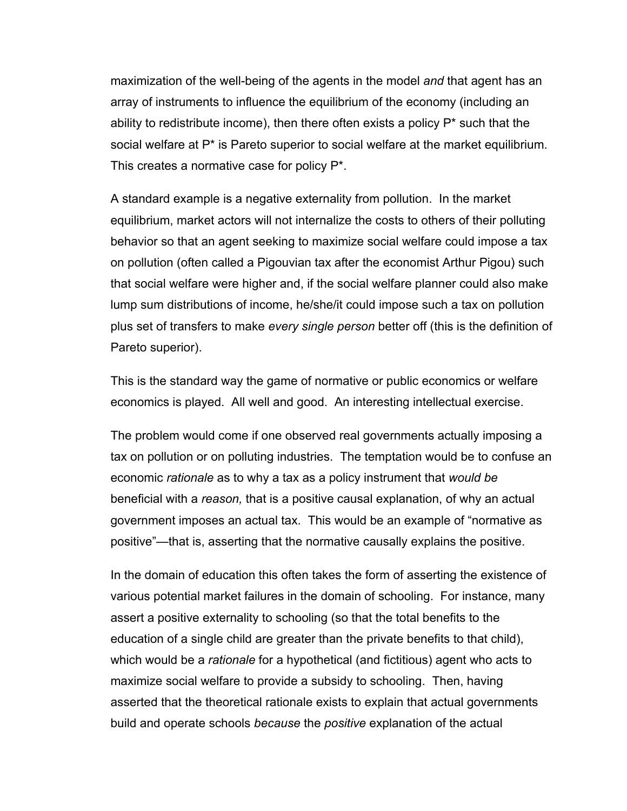maximization of the well-being of the agents in the model *and* that agent has an array of instruments to influence the equilibrium of the economy (including an ability to redistribute income), then there often exists a policy  $P^*$  such that the social welfare at P\* is Pareto superior to social welfare at the market equilibrium. This creates a normative case for policy P\*.

A standard example is a negative externality from pollution. In the market equilibrium, market actors will not internalize the costs to others of their polluting behavior so that an agent seeking to maximize social welfare could impose a tax on pollution (often called a Pigouvian tax after the economist Arthur Pigou) such that social welfare were higher and, if the social welfare planner could also make lump sum distributions of income, he/she/it could impose such a tax on pollution plus set of transfers to make *every single person* better off (this is the definition of Pareto superior).

This is the standard way the game of normative or public economics or welfare economics is played. All well and good. An interesting intellectual exercise.

The problem would come if one observed real governments actually imposing a tax on pollution or on polluting industries. The temptation would be to confuse an economic *rationale* as to why a tax as a policy instrument that *would be* beneficial with a *reason,* that is a positive causal explanation, of why an actual government imposes an actual tax. This would be an example of "normative as positive"—that is, asserting that the normative causally explains the positive.

In the domain of education this often takes the form of asserting the existence of various potential market failures in the domain of schooling. For instance, many assert a positive externality to schooling (so that the total benefits to the education of a single child are greater than the private benefits to that child), which would be a *rationale* for a hypothetical (and fictitious) agent who acts to maximize social welfare to provide a subsidy to schooling. Then, having asserted that the theoretical rationale exists to explain that actual governments build and operate schools *because* the *positive* explanation of the actual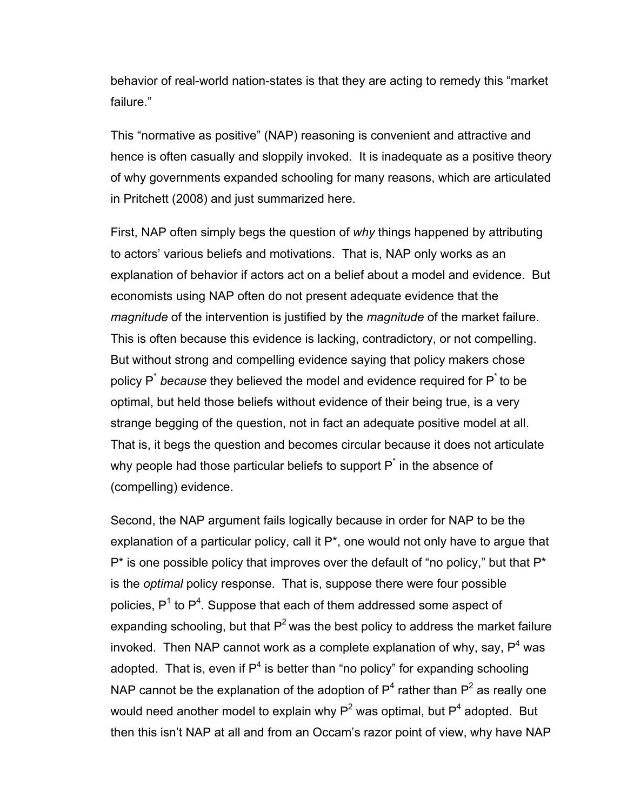behavior of real-world nation-states is that they are acting to remedy this "market failure."

This "normative as positive" (NAP) reasoning is convenient and attractive and hence is often casually and sloppily invoked. It is inadequate as a positive theory of why governments expanded schooling for many reasons, which are articulated in Pritchett (2008) and just summarized here.

First, NAP often simply begs the question of *why* things happened by attributing to actors' various beliefs and motivations. That is, NAP only works as an explanation of behavior if actors act on a belief about a model and evidence. But economists using NAP often do not present adequate evidence that the *magnitude* of the intervention is justified by the *magnitude* of the market failure. This is often because this evidence is lacking, contradictory, or not compelling. But without strong and compelling evidence saying that policy makers chose policy P\* *because* they believed the model and evidence required for P\* to be optimal, but held those beliefs without evidence of their being true, is a very strange begging of the question, not in fact an adequate positive model at all. That is, it begs the question and becomes circular because it does not articulate why people had those particular beliefs to support  $P^*$  in the absence of (compelling) evidence.

Second, the NAP argument fails logically because in order for NAP to be the explanation of a particular policy, call it  $P^*$ , one would not only have to argue that  $P^*$  is one possible policy that improves over the default of "no policy," but that  $P^*$ is the *optimal* policy response. That is, suppose there were four possible policies, P<sup>1</sup> to P<sup>4</sup>. Suppose that each of them addressed some aspect of expanding schooling, but that  $P^2$  was the best policy to address the market failure invoked. Then NAP cannot work as a complete explanation of why, say,  $P^4$  was adopted. That is, even if  $P<sup>4</sup>$  is better than "no policy" for expanding schooling NAP cannot be the explanation of the adoption of  $P<sup>4</sup>$  rather than  $P<sup>2</sup>$  as really one would need another model to explain why  $P^2$  was optimal, but  $P^4$  adopted. But then this isn't NAP at all and from an Occam's razor point of view, why have NAP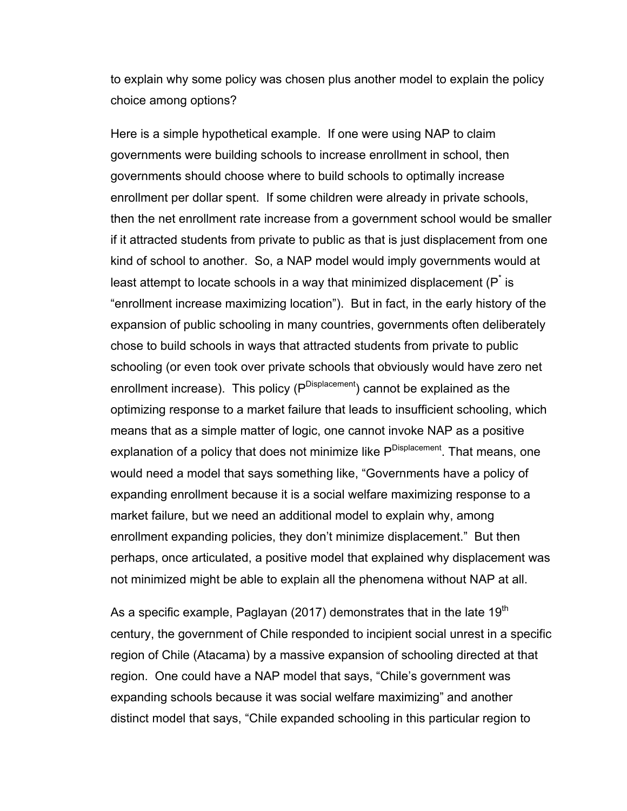to explain why some policy was chosen plus another model to explain the policy choice among options?

Here is a simple hypothetical example. If one were using NAP to claim governments were building schools to increase enrollment in school, then governments should choose where to build schools to optimally increase enrollment per dollar spent. If some children were already in private schools, then the net enrollment rate increase from a government school would be smaller if it attracted students from private to public as that is just displacement from one kind of school to another. So, a NAP model would imply governments would at least attempt to locate schools in a way that minimized displacement ( $P^*$  is "enrollment increase maximizing location"). But in fact, in the early history of the expansion of public schooling in many countries, governments often deliberately chose to build schools in ways that attracted students from private to public schooling (or even took over private schools that obviously would have zero net enrollment increase). This policy (P<sup>Displacement</sup>) cannot be explained as the optimizing response to a market failure that leads to insufficient schooling, which means that as a simple matter of logic, one cannot invoke NAP as a positive explanation of a policy that does not minimize like P<sup>Displacement</sup>. That means, one would need a model that says something like, "Governments have a policy of expanding enrollment because it is a social welfare maximizing response to a market failure, but we need an additional model to explain why, among enrollment expanding policies, they don't minimize displacement." But then perhaps, once articulated, a positive model that explained why displacement was not minimized might be able to explain all the phenomena without NAP at all.

As a specific example, Paglayan (2017) demonstrates that in the late 19<sup>th</sup> century, the government of Chile responded to incipient social unrest in a specific region of Chile (Atacama) by a massive expansion of schooling directed at that region. One could have a NAP model that says, "Chile's government was expanding schools because it was social welfare maximizing" and another distinct model that says, "Chile expanded schooling in this particular region to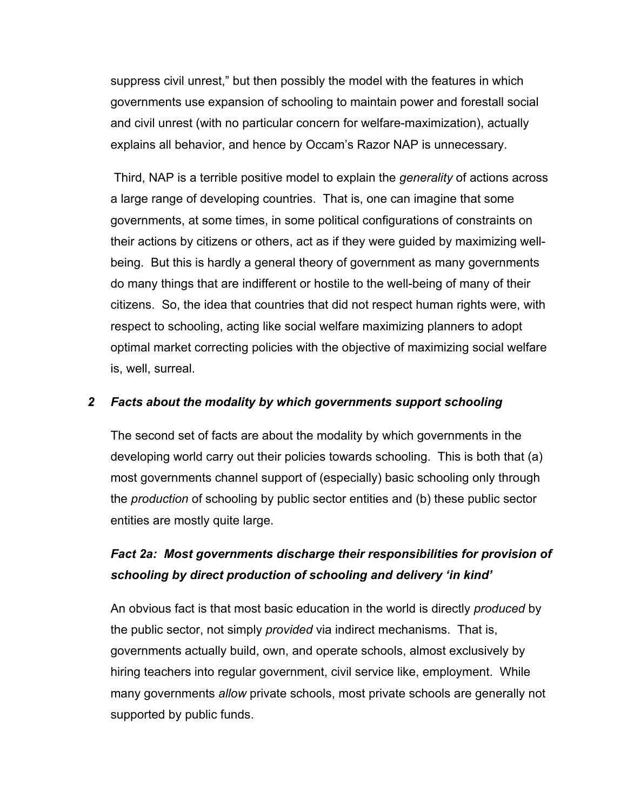suppress civil unrest," but then possibly the model with the features in which governments use expansion of schooling to maintain power and forestall social and civil unrest (with no particular concern for welfare-maximization), actually explains all behavior, and hence by Occam's Razor NAP is unnecessary.

Third, NAP is a terrible positive model to explain the *generality* of actions across a large range of developing countries. That is, one can imagine that some governments, at some times, in some political configurations of constraints on their actions by citizens or others, act as if they were guided by maximizing wellbeing. But this is hardly a general theory of government as many governments do many things that are indifferent or hostile to the well-being of many of their citizens. So, the idea that countries that did not respect human rights were, with respect to schooling, acting like social welfare maximizing planners to adopt optimal market correcting policies with the objective of maximizing social welfare is, well, surreal.

### *2 Facts about the modality by which governments support schooling*

The second set of facts are about the modality by which governments in the developing world carry out their policies towards schooling. This is both that (a) most governments channel support of (especially) basic schooling only through the *production* of schooling by public sector entities and (b) these public sector entities are mostly quite large.

## *Fact 2a: Most governments discharge their responsibilities for provision of schooling by direct production of schooling and delivery 'in kind'*

An obvious fact is that most basic education in the world is directly *produced* by the public sector, not simply *provided* via indirect mechanisms. That is, governments actually build, own, and operate schools, almost exclusively by hiring teachers into regular government, civil service like, employment. While many governments *allow* private schools, most private schools are generally not supported by public funds.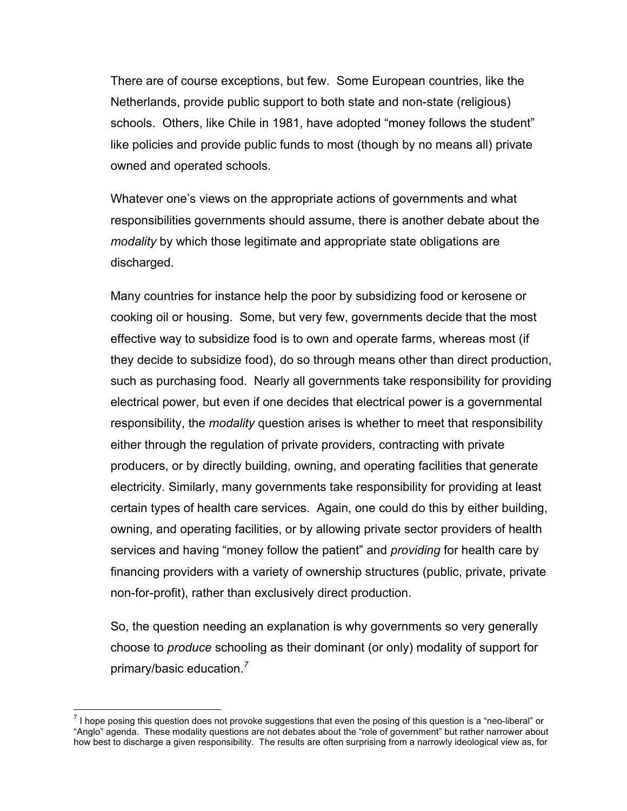There are of course exceptions, but few. Some European countries, like the Netherlands, provide public support to both state and non-state (religious) schools. Others, like Chile in 1981, have adopted "money follows the student" like policies and provide public funds to most (though by no means all) private owned and operated schools.

Whatever one's views on the appropriate actions of governments and what responsibilities governments should assume, there is another debate about the *modality* by which those legitimate and appropriate state obligations are discharged.

Many countries for instance help the poor by subsidizing food or kerosene or cooking oil or housing. Some, but very few, governments decide that the most effective way to subsidize food is to own and operate farms, whereas most (if they decide to subsidize food), do so through means other than direct production, such as purchasing food. Nearly all governments take responsibility for providing electrical power, but even if one decides that electrical power is a governmental responsibility, the *modality* question arises is whether to meet that responsibility either through the regulation of private providers, contracting with private producers, or by directly building, owning, and operating facilities that generate electricity. Similarly, many governments take responsibility for providing at least certain types of health care services. Again, one could do this by either building, owning, and operating facilities, or by allowing private sector providers of health services and having "money follow the patient" and *providing* for health care by financing providers with a variety of ownership structures (public, private, private non-for-profit), rather than exclusively direct production.

So, the question needing an explanation is why governments so very generally choose to *produce* schooling as their dominant (or only) modality of support for primary/basic education. *7*

 $<sup>7</sup>$  I hope posing this question does not provoke suggestions that even the posing of this question is a "neo-liberal" or</sup> "Anglo" agenda. These modality questions are not debates about the "role of government" but rather narrower about how best to discharge a given responsibility. The results are often surprising from a narrowly ideological view as, for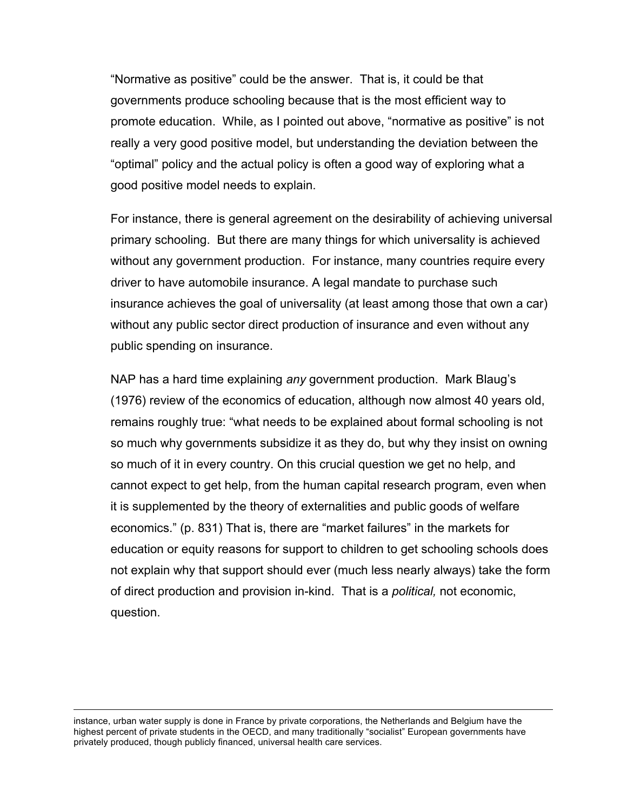"Normative as positive" could be the answer. That is, it could be that governments produce schooling because that is the most efficient way to promote education. While, as I pointed out above, "normative as positive" is not really a very good positive model, but understanding the deviation between the "optimal" policy and the actual policy is often a good way of exploring what a good positive model needs to explain.

For instance, there is general agreement on the desirability of achieving universal primary schooling. But there are many things for which universality is achieved without any government production. For instance, many countries require every driver to have automobile insurance. A legal mandate to purchase such insurance achieves the goal of universality (at least among those that own a car) without any public sector direct production of insurance and even without any public spending on insurance.

NAP has a hard time explaining *any* government production. Mark Blaug's (1976) review of the economics of education, although now almost 40 years old, remains roughly true: "what needs to be explained about formal schooling is not so much why governments subsidize it as they do, but why they insist on owning so much of it in every country. On this crucial question we get no help, and cannot expect to get help, from the human capital research program, even when it is supplemented by the theory of externalities and public goods of welfare economics." (p. 831) That is, there are "market failures" in the markets for education or equity reasons for support to children to get schooling schools does not explain why that support should ever (much less nearly always) take the form of direct production and provision in-kind. That is a *political,* not economic, question.

instance, urban water supply is done in France by private corporations, the Netherlands and Belgium have the highest percent of private students in the OECD, and many traditionally "socialist" European governments have privately produced, though publicly financed, universal health care services.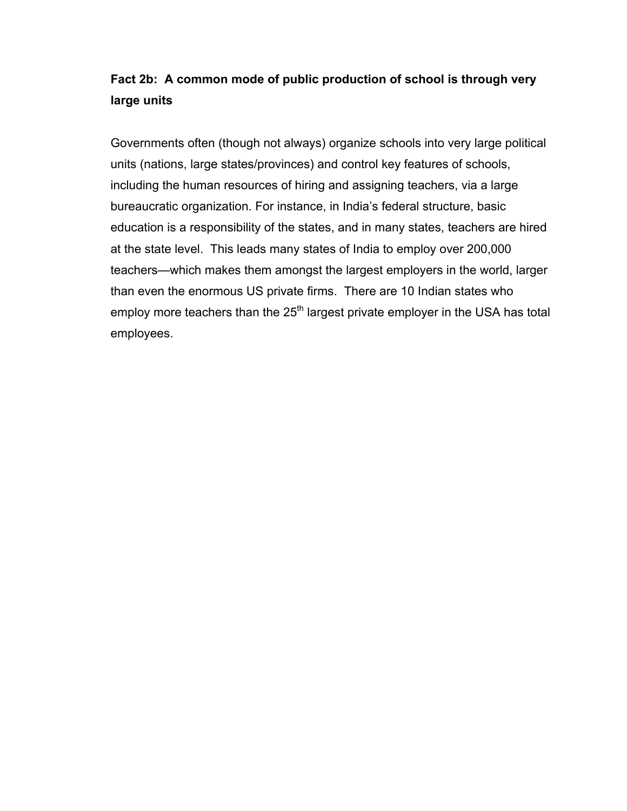# **Fact 2b: A common mode of public production of school is through very large units**

Governments often (though not always) organize schools into very large political units (nations, large states/provinces) and control key features of schools, including the human resources of hiring and assigning teachers, via a large bureaucratic organization. For instance, in India's federal structure, basic education is a responsibility of the states, and in many states, teachers are hired at the state level. This leads many states of India to employ over 200,000 teachers—which makes them amongst the largest employers in the world, larger than even the enormous US private firms. There are 10 Indian states who employ more teachers than the  $25<sup>th</sup>$  largest private employer in the USA has total employees.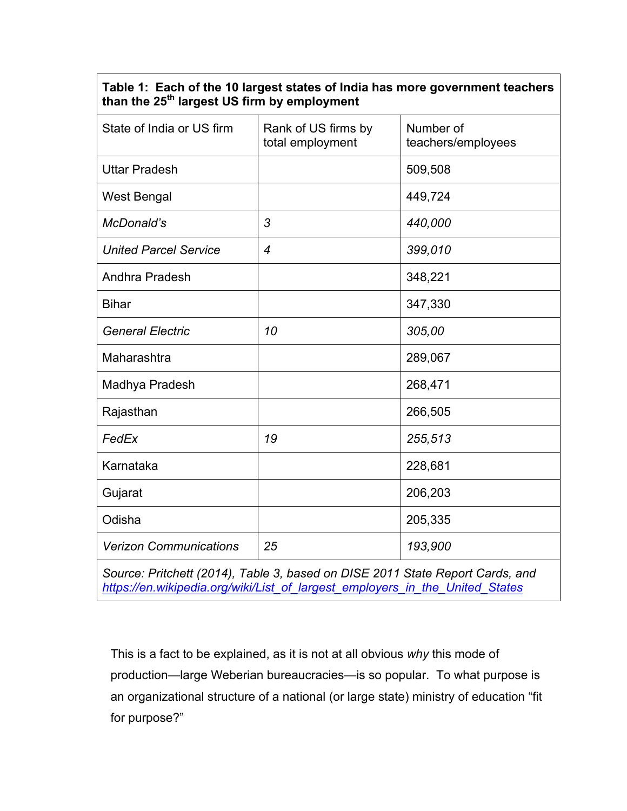|                                                         |  |  |  | Table 1: Each of the 10 largest states of India has more government teachers |
|---------------------------------------------------------|--|--|--|------------------------------------------------------------------------------|
| than the 25 <sup>th</sup> largest US firm by employment |  |  |  |                                                                              |

| State of India or US firm                                                     | Rank of US firms by<br>total employment | Number of<br>teachers/employees |  |  |  |
|-------------------------------------------------------------------------------|-----------------------------------------|---------------------------------|--|--|--|
| <b>Uttar Pradesh</b>                                                          |                                         | 509,508                         |  |  |  |
| West Bengal                                                                   |                                         | 449,724                         |  |  |  |
| McDonald's                                                                    | 3                                       | 440,000                         |  |  |  |
| <b>United Parcel Service</b>                                                  | $\overline{4}$                          | 399,010                         |  |  |  |
| Andhra Pradesh                                                                |                                         | 348,221                         |  |  |  |
| <b>Bihar</b>                                                                  |                                         | 347,330                         |  |  |  |
| <b>General Electric</b>                                                       | 10                                      | 305,00                          |  |  |  |
| Maharashtra                                                                   |                                         | 289,067                         |  |  |  |
| Madhya Pradesh                                                                |                                         | 268,471                         |  |  |  |
| Rajasthan                                                                     |                                         | 266,505                         |  |  |  |
| FedEx                                                                         | 19                                      | 255,513                         |  |  |  |
| Karnataka                                                                     |                                         | 228,681                         |  |  |  |
| Gujarat                                                                       |                                         | 206,203                         |  |  |  |
| Odisha                                                                        |                                         | 205,335                         |  |  |  |
| <b>Verizon Communications</b>                                                 | 25                                      | 193,900                         |  |  |  |
| Source: Pritchett (2014), Table 3, based on DISE 2011 State Report Cards, and |                                         |                                 |  |  |  |

*[https://en.wikipedia.org/wiki/List\\_of\\_largest\\_employers\\_in\\_the\\_United\\_States](https://en.wikipedia.org/wiki/List_of_largest_employers_in_the_United_States)*

This is a fact to be explained, as it is not at all obvious *why* this mode of production—large Weberian bureaucracies—is so popular. To what purpose is an organizational structure of a national (or large state) ministry of education "fit for purpose?"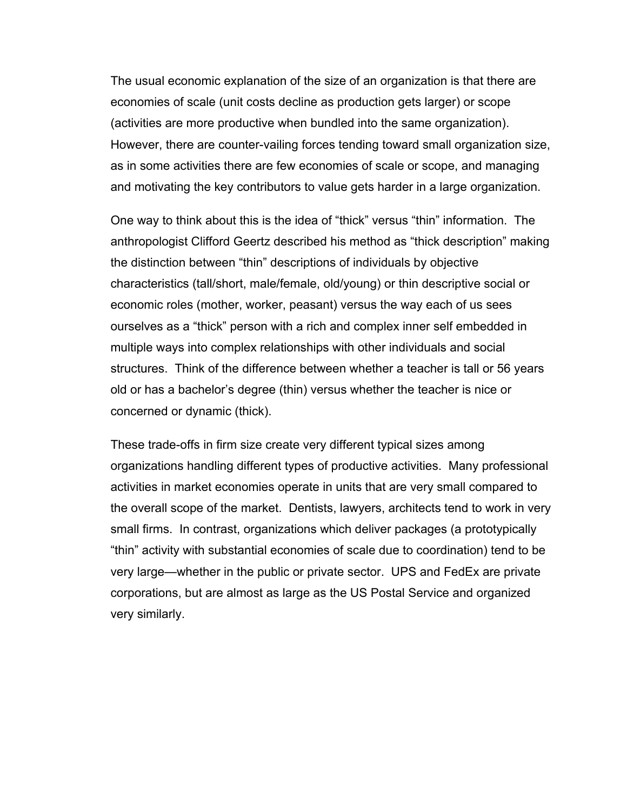The usual economic explanation of the size of an organization is that there are economies of scale (unit costs decline as production gets larger) or scope (activities are more productive when bundled into the same organization). However, there are counter-vailing forces tending toward small organization size, as in some activities there are few economies of scale or scope, and managing and motivating the key contributors to value gets harder in a large organization.

One way to think about this is the idea of "thick" versus "thin" information. The anthropologist Clifford Geertz described his method as "thick description" making the distinction between "thin" descriptions of individuals by objective characteristics (tall/short, male/female, old/young) or thin descriptive social or economic roles (mother, worker, peasant) versus the way each of us sees ourselves as a "thick" person with a rich and complex inner self embedded in multiple ways into complex relationships with other individuals and social structures. Think of the difference between whether a teacher is tall or 56 years old or has a bachelor's degree (thin) versus whether the teacher is nice or concerned or dynamic (thick).

These trade-offs in firm size create very different typical sizes among organizations handling different types of productive activities. Many professional activities in market economies operate in units that are very small compared to the overall scope of the market. Dentists, lawyers, architects tend to work in very small firms. In contrast, organizations which deliver packages (a prototypically "thin" activity with substantial economies of scale due to coordination) tend to be very large—whether in the public or private sector. UPS and FedEx are private corporations, but are almost as large as the US Postal Service and organized very similarly.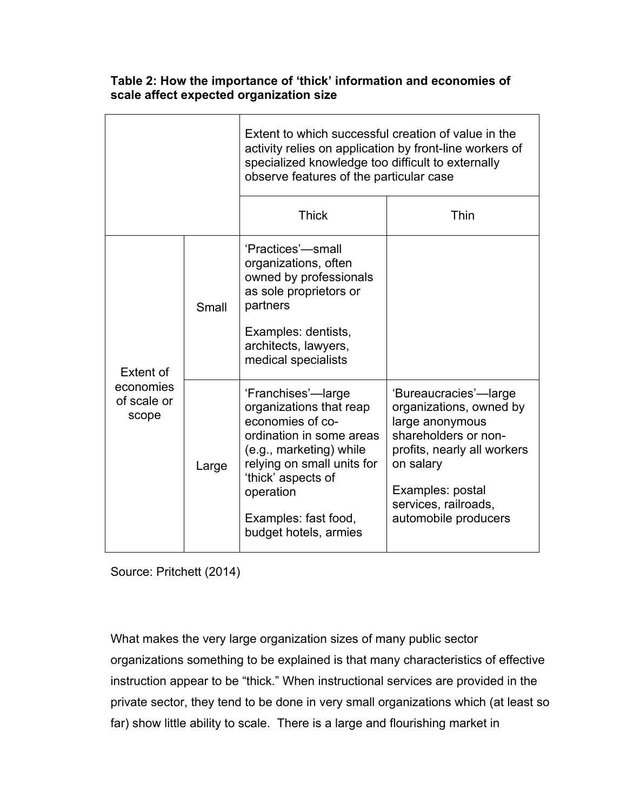|                                   |       | Extent to which successful creation of value in the<br>activity relies on application by front-line workers of<br>specialized knowledge too difficult to externally<br>observe features of the particular case                             |                                                                                                                                                                                                             |  |  |
|-----------------------------------|-------|--------------------------------------------------------------------------------------------------------------------------------------------------------------------------------------------------------------------------------------------|-------------------------------------------------------------------------------------------------------------------------------------------------------------------------------------------------------------|--|--|
|                                   |       | <b>Thick</b>                                                                                                                                                                                                                               | Thin                                                                                                                                                                                                        |  |  |
| Extent of                         | Small | 'Practices'—small<br>organizations, often<br>owned by professionals<br>as sole proprietors or<br>partners<br>Examples: dentists,<br>architects, lawyers,<br>medical specialists                                                            |                                                                                                                                                                                                             |  |  |
| economies<br>of scale or<br>scope | Large | 'Franchises'—large<br>organizations that reap<br>economies of co-<br>ordination in some areas<br>(e.g., marketing) while<br>relying on small units for<br>'thick' aspects of<br>operation<br>Examples: fast food,<br>budget hotels, armies | 'Bureaucracies'—large<br>organizations, owned by<br>large anonymous<br>shareholders or non-<br>profits, nearly all workers<br>on salary<br>Examples: postal<br>services, railroads,<br>automobile producers |  |  |

**Table 2: How the importance of 'thick' information and economies of scale affect expected organization size**

Source: Pritchett (2014)

What makes the very large organization sizes of many public sector organizations something to be explained is that many characteristics of effective instruction appear to be "thick." When instructional services are provided in the private sector, they tend to be done in very small organizations which (at least so far) show little ability to scale. There is a large and flourishing market in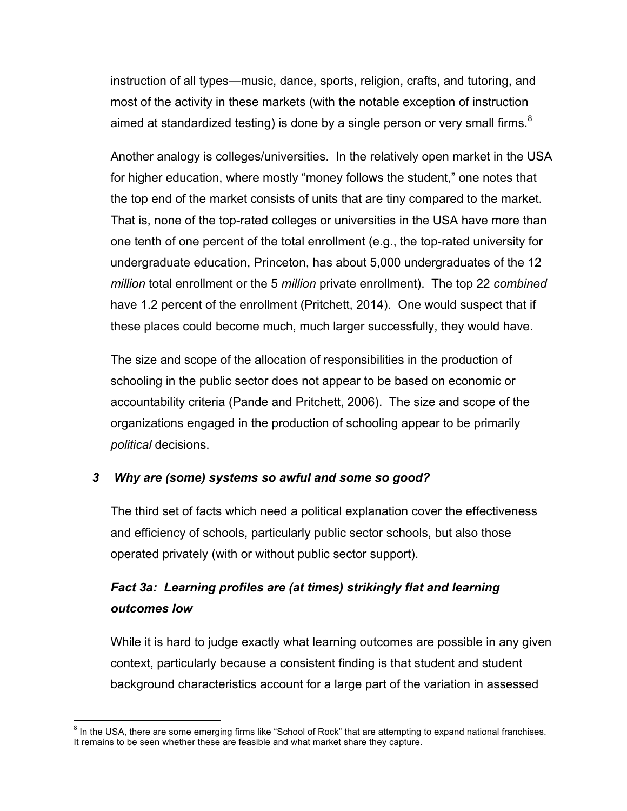instruction of all types—music, dance, sports, religion, crafts, and tutoring, and most of the activity in these markets (with the notable exception of instruction aimed at standardized testing) is done by a single person or very small firms. $^8$ 

Another analogy is colleges/universities. In the relatively open market in the USA for higher education, where mostly "money follows the student," one notes that the top end of the market consists of units that are tiny compared to the market. That is, none of the top-rated colleges or universities in the USA have more than one tenth of one percent of the total enrollment (e.g., the top-rated university for undergraduate education, Princeton, has about 5,000 undergraduates of the 12 *million* total enrollment or the 5 *million* private enrollment). The top 22 *combined*  have 1.2 percent of the enrollment (Pritchett, 2014). One would suspect that if these places could become much, much larger successfully, they would have.

The size and scope of the allocation of responsibilities in the production of schooling in the public sector does not appear to be based on economic or accountability criteria (Pande and Pritchett, 2006). The size and scope of the organizations engaged in the production of schooling appear to be primarily *political* decisions.

### *3 Why are (some) systems so awful and some so good?*

The third set of facts which need a political explanation cover the effectiveness and efficiency of schools, particularly public sector schools, but also those operated privately (with or without public sector support).

# *Fact 3a: Learning profiles are (at times) strikingly flat and learning outcomes low*

While it is hard to judge exactly what learning outcomes are possible in any given context, particularly because a consistent finding is that student and student background characteristics account for a large part of the variation in assessed

<sup>&</sup>lt;sup>8</sup> In the USA, there are some emerging firms like "School of Rock" that are attempting to expand national franchises. It remains to be seen whether these are feasible and what market share they capture.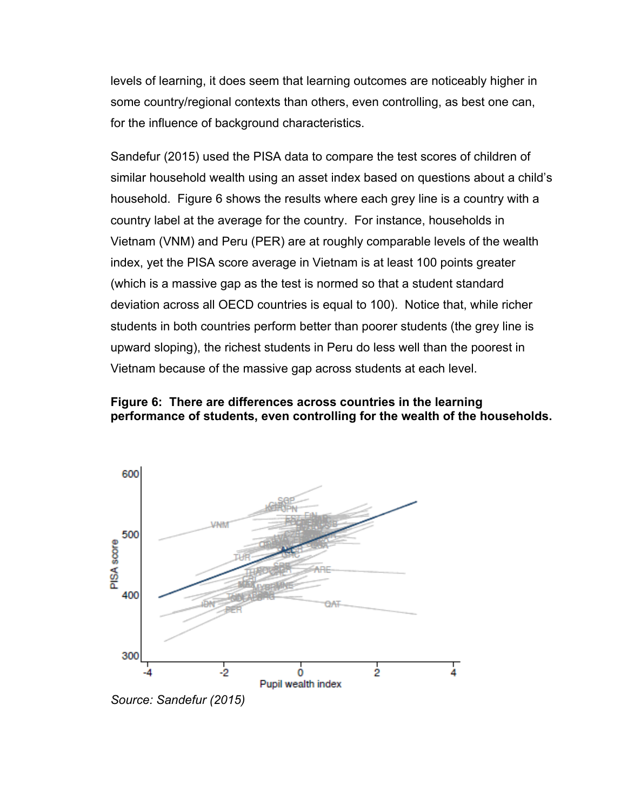levels of learning, it does seem that learning outcomes are noticeably higher in some country/regional contexts than others, even controlling, as best one can, for the influence of background characteristics.

Sandefur (2015) used the PISA data to compare the test scores of children of similar household wealth using an asset index based on questions about a child's household. Figure 6 shows the results where each grey line is a country with a country label at the average for the country. For instance, households in Vietnam (VNM) and Peru (PER) are at roughly comparable levels of the wealth index, yet the PISA score average in Vietnam is at least 100 points greater (which is a massive gap as the test is normed so that a student standard deviation across all OECD countries is equal to 100). Notice that, while richer students in both countries perform better than poorer students (the grey line is upward sloping), the richest students in Peru do less well than the poorest in Vietnam because of the massive gap across students at each level.

### **Figure 6: There are differences across countries in the learning performance of students, even controlling for the wealth of the households.**



*Source: Sandefur (2015)*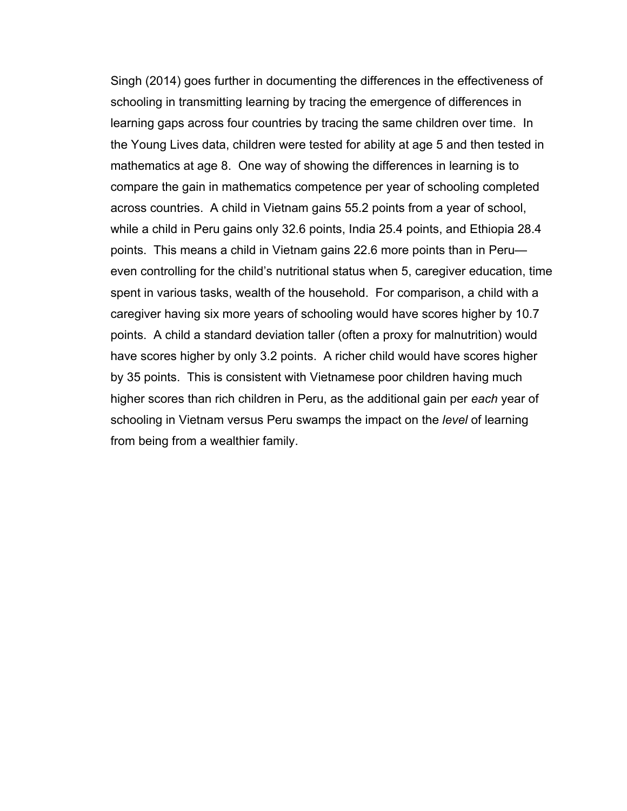Singh (2014) goes further in documenting the differences in the effectiveness of schooling in transmitting learning by tracing the emergence of differences in learning gaps across four countries by tracing the same children over time. In the Young Lives data, children were tested for ability at age 5 and then tested in mathematics at age 8. One way of showing the differences in learning is to compare the gain in mathematics competence per year of schooling completed across countries. A child in Vietnam gains 55.2 points from a year of school, while a child in Peru gains only 32.6 points, India 25.4 points, and Ethiopia 28.4 points. This means a child in Vietnam gains 22.6 more points than in Peru even controlling for the child's nutritional status when 5, caregiver education, time spent in various tasks, wealth of the household. For comparison, a child with a caregiver having six more years of schooling would have scores higher by 10.7 points. A child a standard deviation taller (often a proxy for malnutrition) would have scores higher by only 3.2 points. A richer child would have scores higher by 35 points. This is consistent with Vietnamese poor children having much higher scores than rich children in Peru, as the additional gain per *each* year of schooling in Vietnam versus Peru swamps the impact on the *level* of learning from being from a wealthier family.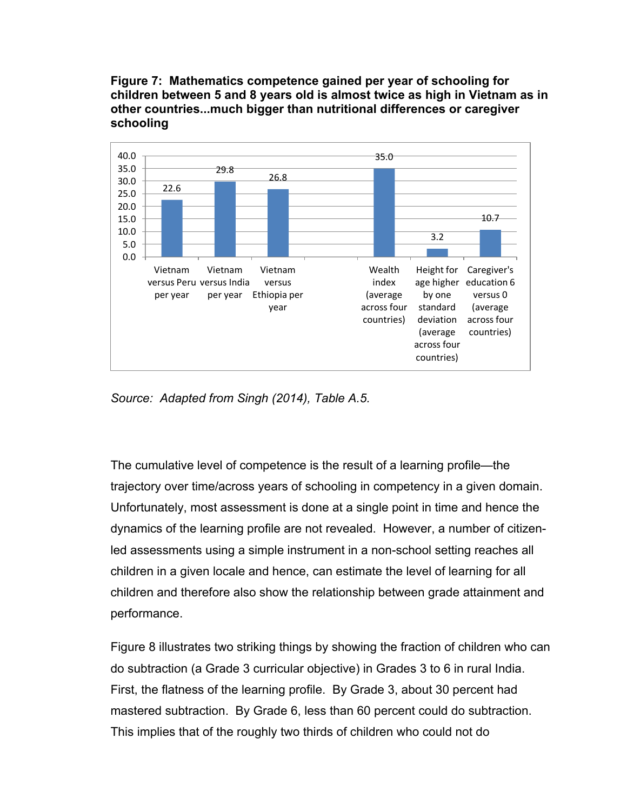**Figure 7: Mathematics competence gained per year of schooling for children between 5 and 8 years old is almost twice as high in Vietnam as in other countries...much bigger than nutritional differences or caregiver schooling** 



*Source: Adapted from Singh (2014), Table A.5.* 

The cumulative level of competence is the result of a learning profile—the trajectory over time/across years of schooling in competency in a given domain. Unfortunately, most assessment is done at a single point in time and hence the dynamics of the learning profile are not revealed. However, a number of citizenled assessments using a simple instrument in a non-school setting reaches all children in a given locale and hence, can estimate the level of learning for all children and therefore also show the relationship between grade attainment and performance.

Figure 8 illustrates two striking things by showing the fraction of children who can do subtraction (a Grade 3 curricular objective) in Grades 3 to 6 in rural India. First, the flatness of the learning profile. By Grade 3, about 30 percent had mastered subtraction. By Grade 6, less than 60 percent could do subtraction. This implies that of the roughly two thirds of children who could not do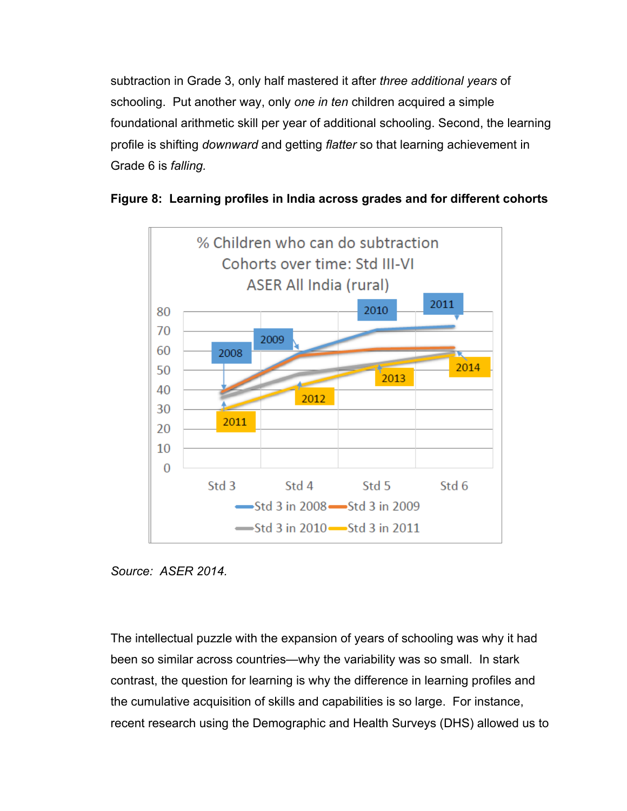subtraction in Grade 3, only half mastered it after *three additional years* of schooling. Put another way, only *one in ten* children acquired a simple foundational arithmetic skill per year of additional schooling. Second, the learning profile is shifting *downward* and getting *flatter* so that learning achievement in Grade 6 is *falling.* 





*Source: ASER 2014.*

The intellectual puzzle with the expansion of years of schooling was why it had been so similar across countries—why the variability was so small. In stark contrast, the question for learning is why the difference in learning profiles and the cumulative acquisition of skills and capabilities is so large. For instance, recent research using the Demographic and Health Surveys (DHS) allowed us to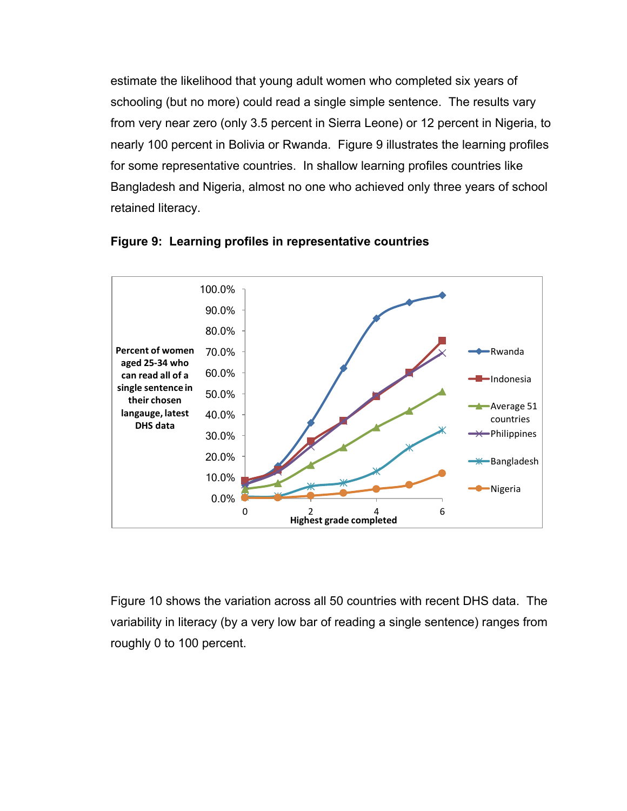estimate the likelihood that young adult women who completed six years of schooling (but no more) could read a single simple sentence. The results vary from very near zero (only 3.5 percent in Sierra Leone) or 12 percent in Nigeria, to nearly 100 percent in Bolivia or Rwanda. Figure 9 illustrates the learning profiles for some representative countries. In shallow learning profiles countries like Bangladesh and Nigeria, almost no one who achieved only three years of school retained literacy.





Figure 10 shows the variation across all 50 countries with recent DHS data. The variability in literacy (by a very low bar of reading a single sentence) ranges from roughly 0 to 100 percent.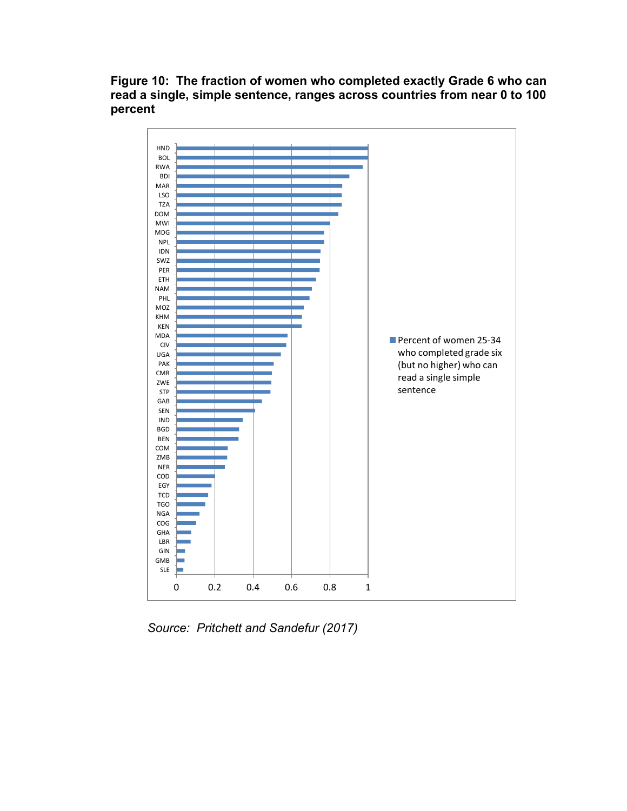

**Figure 10: The fraction of women who completed exactly Grade 6 who can read a single, simple sentence, ranges across countries from near 0 to 100 percent**

*Source: Pritchett and Sandefur (2017)*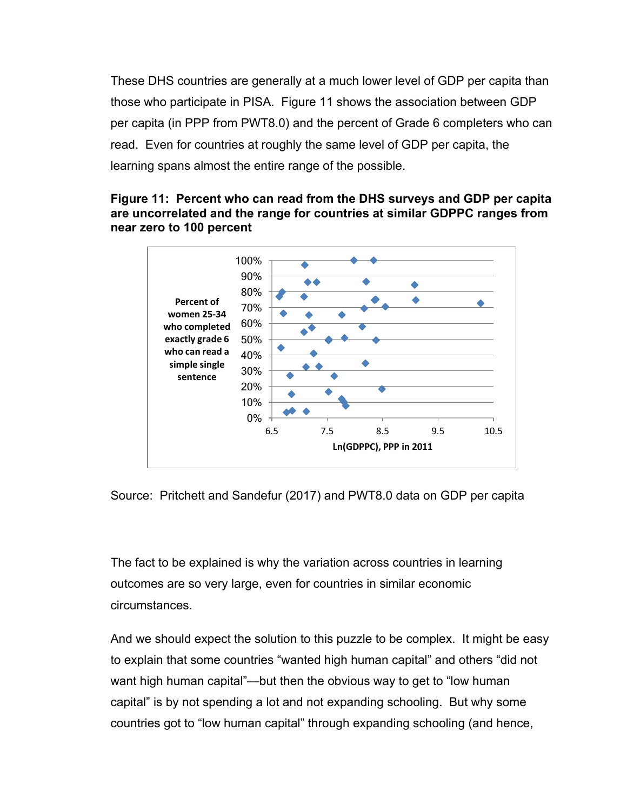These DHS countries are generally at a much lower level of GDP per capita than those who participate in PISA. Figure 11 shows the association between GDP per capita (in PPP from PWT8.0) and the percent of Grade 6 completers who can read. Even for countries at roughly the same level of GDP per capita, the learning spans almost the entire range of the possible.

### **Figure 11: Percent who can read from the DHS surveys and GDP per capita are uncorrelated and the range for countries at similar GDPPC ranges from near zero to 100 percent**



Source: Pritchett and Sandefur (2017) and PWT8.0 data on GDP per capita

The fact to be explained is why the variation across countries in learning outcomes are so very large, even for countries in similar economic circumstances.

And we should expect the solution to this puzzle to be complex. It might be easy to explain that some countries "wanted high human capital" and others "did not want high human capital"—but then the obvious way to get to "low human capital" is by not spending a lot and not expanding schooling. But why some countries got to "low human capital" through expanding schooling (and hence,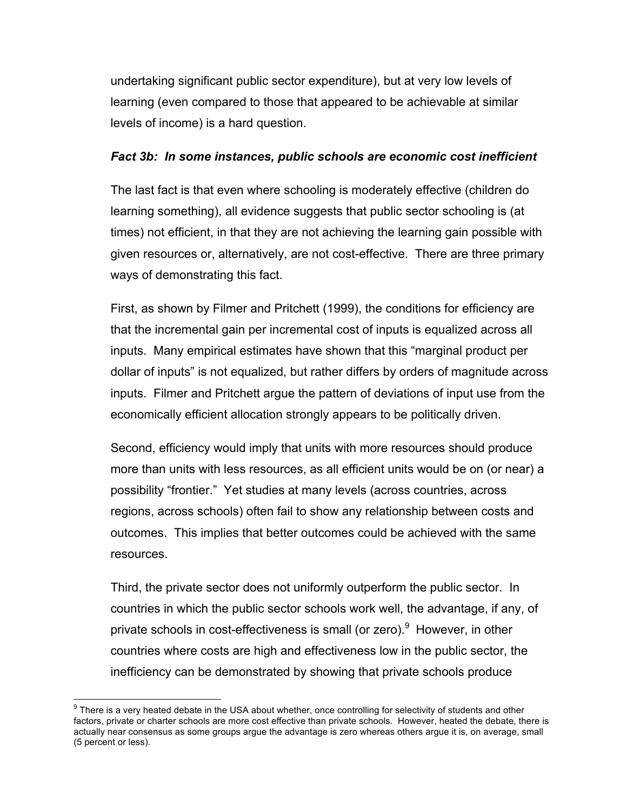undertaking significant public sector expenditure), but at very low levels of learning (even compared to those that appeared to be achievable at similar levels of income) is a hard question.

### *Fact 3b: In some instances, public schools are economic cost inefficient*

The last fact is that even where schooling is moderately effective (children do learning something), all evidence suggests that public sector schooling is (at times) not efficient, in that they are not achieving the learning gain possible with given resources or, alternatively, are not cost-effective. There are three primary ways of demonstrating this fact.

First, as shown by Filmer and Pritchett (1999), the conditions for efficiency are that the incremental gain per incremental cost of inputs is equalized across all inputs. Many empirical estimates have shown that this "marginal product per dollar of inputs" is not equalized, but rather differs by orders of magnitude across inputs. Filmer and Pritchett argue the pattern of deviations of input use from the economically efficient allocation strongly appears to be politically driven.

Second, efficiency would imply that units with more resources should produce more than units with less resources, as all efficient units would be on (or near) a possibility "frontier." Yet studies at many levels (across countries, across regions, across schools) often fail to show any relationship between costs and outcomes. This implies that better outcomes could be achieved with the same resources.

Third, the private sector does not uniformly outperform the public sector. In countries in which the public sector schools work well, the advantage, if any, of private schools in cost-effectiveness is small (or zero).<sup>9</sup> However, in other countries where costs are high and effectiveness low in the public sector, the inefficiency can be demonstrated by showing that private schools produce

 $9$  There is a very heated debate in the USA about whether, once controlling for selectivity of students and other factors, private or charter schools are more cost effective than private schools. However, heated the debate, there is actually near consensus as some groups argue the advantage is zero whereas others argue it is, on average, small (5 percent or less).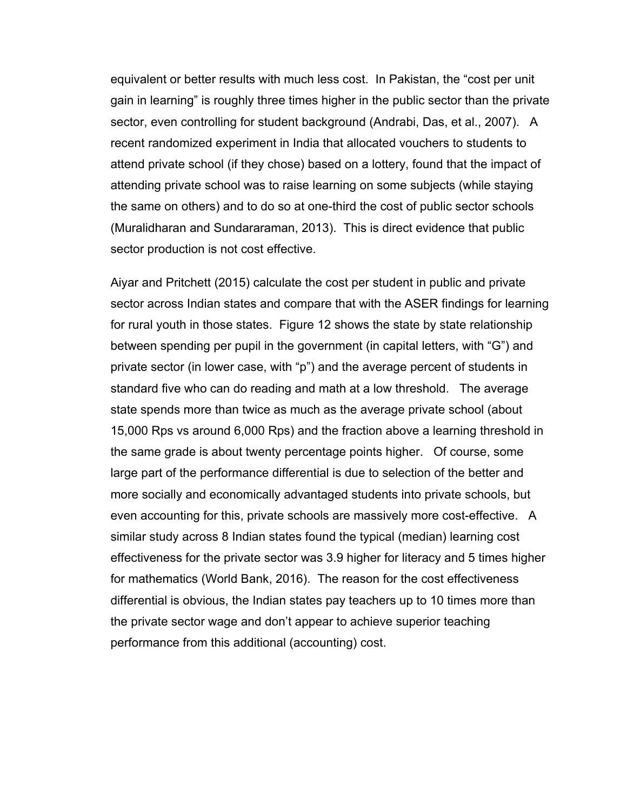equivalent or better results with much less cost. In Pakistan, the "cost per unit gain in learning" is roughly three times higher in the public sector than the private sector, even controlling for student background (Andrabi, Das, et al., 2007). A recent randomized experiment in India that allocated vouchers to students to attend private school (if they chose) based on a lottery, found that the impact of attending private school was to raise learning on some subjects (while staying the same on others) and to do so at one-third the cost of public sector schools (Muralidharan and Sundararaman, 2013). This is direct evidence that public sector production is not cost effective.

Aiyar and Pritchett (2015) calculate the cost per student in public and private sector across Indian states and compare that with the ASER findings for learning for rural youth in those states. Figure 12 shows the state by state relationship between spending per pupil in the government (in capital letters, with "G") and private sector (in lower case, with "p") and the average percent of students in standard five who can do reading and math at a low threshold. The average state spends more than twice as much as the average private school (about 15,000 Rps vs around 6,000 Rps) and the fraction above a learning threshold in the same grade is about twenty percentage points higher. Of course, some large part of the performance differential is due to selection of the better and more socially and economically advantaged students into private schools, but even accounting for this, private schools are massively more cost-effective. A similar study across 8 Indian states found the typical (median) learning cost effectiveness for the private sector was 3.9 higher for literacy and 5 times higher for mathematics (World Bank, 2016). The reason for the cost effectiveness differential is obvious, the Indian states pay teachers up to 10 times more than the private sector wage and don't appear to achieve superior teaching performance from this additional (accounting) cost.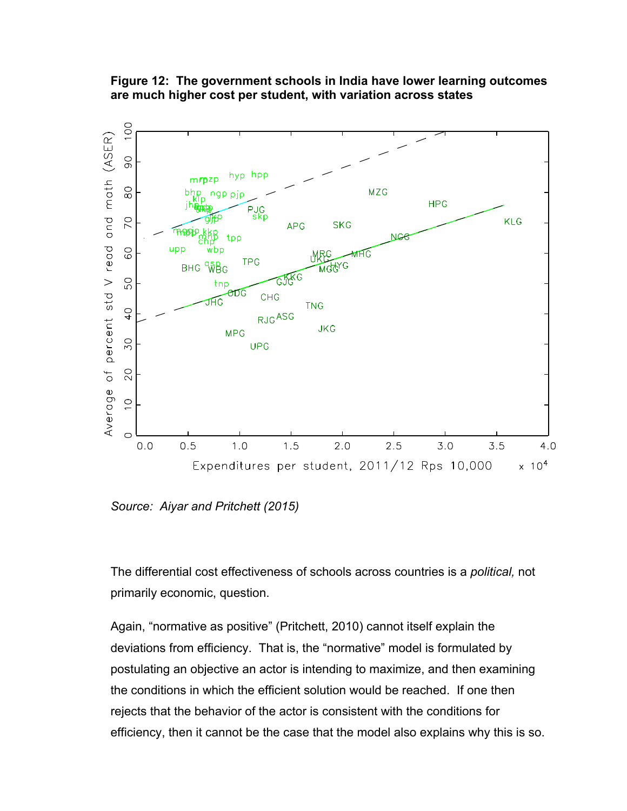**Figure 12: The government schools in India have lower learning outcomes are much higher cost per student, with variation across states**



*Source: Aiyar and Pritchett (2015)* 

The differential cost effectiveness of schools across countries is a *political,* not primarily economic, question.

Again, "normative as positive" (Pritchett, 2010) cannot itself explain the deviations from efficiency. That is, the "normative" model is formulated by postulating an objective an actor is intending to maximize, and then examining the conditions in which the efficient solution would be reached. If one then rejects that the behavior of the actor is consistent with the conditions for efficiency, then it cannot be the case that the model also explains why this is so.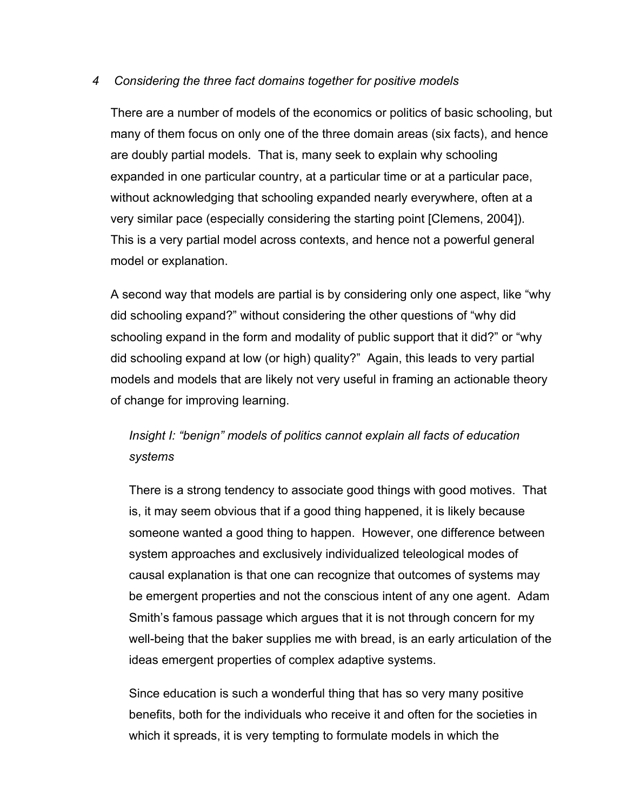### *4 Considering the three fact domains together for positive models*

There are a number of models of the economics or politics of basic schooling, but many of them focus on only one of the three domain areas (six facts), and hence are doubly partial models. That is, many seek to explain why schooling expanded in one particular country, at a particular time or at a particular pace, without acknowledging that schooling expanded nearly everywhere, often at a very similar pace (especially considering the starting point [Clemens, 2004]). This is a very partial model across contexts, and hence not a powerful general model or explanation.

A second way that models are partial is by considering only one aspect, like "why did schooling expand?" without considering the other questions of "why did schooling expand in the form and modality of public support that it did?" or "why did schooling expand at low (or high) quality?" Again, this leads to very partial models and models that are likely not very useful in framing an actionable theory of change for improving learning.

# *Insight I: "benign" models of politics cannot explain all facts of education systems*

There is a strong tendency to associate good things with good motives. That is, it may seem obvious that if a good thing happened, it is likely because someone wanted a good thing to happen. However, one difference between system approaches and exclusively individualized teleological modes of causal explanation is that one can recognize that outcomes of systems may be emergent properties and not the conscious intent of any one agent. Adam Smith's famous passage which argues that it is not through concern for my well-being that the baker supplies me with bread, is an early articulation of the ideas emergent properties of complex adaptive systems.

Since education is such a wonderful thing that has so very many positive benefits, both for the individuals who receive it and often for the societies in which it spreads, it is very tempting to formulate models in which the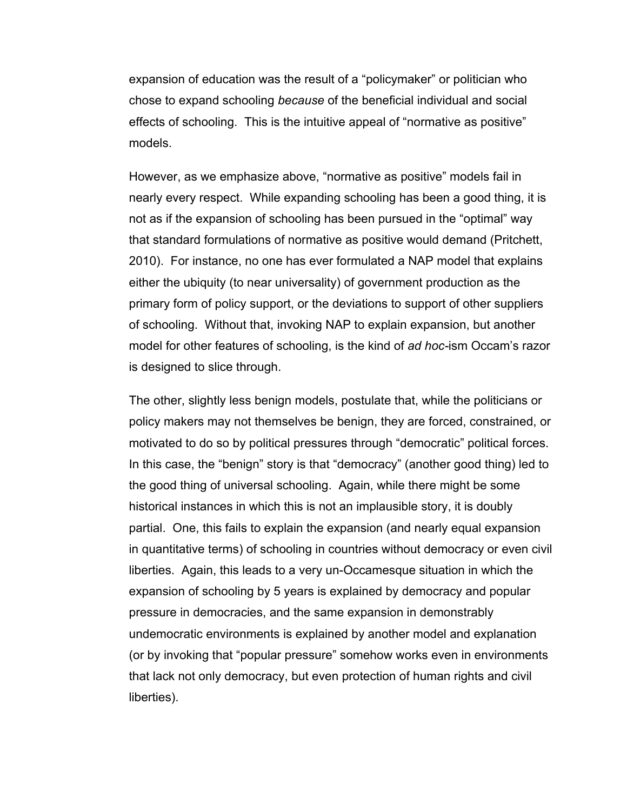expansion of education was the result of a "policymaker" or politician who chose to expand schooling *because* of the beneficial individual and social effects of schooling. This is the intuitive appeal of "normative as positive" models.

However, as we emphasize above, "normative as positive" models fail in nearly every respect. While expanding schooling has been a good thing, it is not as if the expansion of schooling has been pursued in the "optimal" way that standard formulations of normative as positive would demand (Pritchett, 2010). For instance, no one has ever formulated a NAP model that explains either the ubiquity (to near universality) of government production as the primary form of policy support, or the deviations to support of other suppliers of schooling. Without that, invoking NAP to explain expansion, but another model for other features of schooling, is the kind of *ad hoc-*ism Occam's razor is designed to slice through.

The other, slightly less benign models, postulate that, while the politicians or policy makers may not themselves be benign, they are forced, constrained, or motivated to do so by political pressures through "democratic" political forces. In this case, the "benign" story is that "democracy" (another good thing) led to the good thing of universal schooling. Again, while there might be some historical instances in which this is not an implausible story, it is doubly partial. One, this fails to explain the expansion (and nearly equal expansion in quantitative terms) of schooling in countries without democracy or even civil liberties. Again, this leads to a very un-Occamesque situation in which the expansion of schooling by 5 years is explained by democracy and popular pressure in democracies, and the same expansion in demonstrably undemocratic environments is explained by another model and explanation (or by invoking that "popular pressure" somehow works even in environments that lack not only democracy, but even protection of human rights and civil liberties).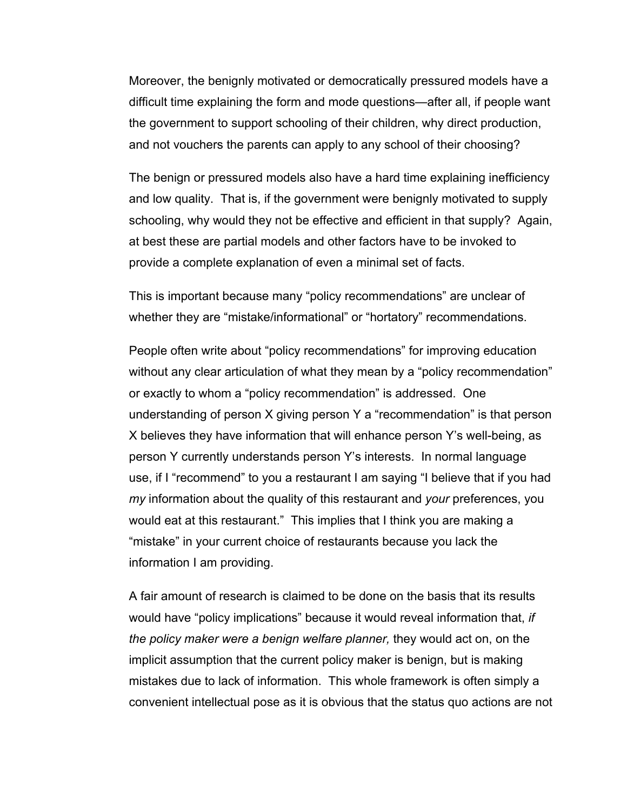Moreover, the benignly motivated or democratically pressured models have a difficult time explaining the form and mode questions—after all, if people want the government to support schooling of their children, why direct production, and not vouchers the parents can apply to any school of their choosing?

The benign or pressured models also have a hard time explaining inefficiency and low quality. That is, if the government were benignly motivated to supply schooling, why would they not be effective and efficient in that supply? Again, at best these are partial models and other factors have to be invoked to provide a complete explanation of even a minimal set of facts.

This is important because many "policy recommendations" are unclear of whether they are "mistake/informational" or "hortatory" recommendations.

People often write about "policy recommendations" for improving education without any clear articulation of what they mean by a "policy recommendation" or exactly to whom a "policy recommendation" is addressed. One understanding of person X giving person Y a "recommendation" is that person X believes they have information that will enhance person Y's well-being, as person Y currently understands person Y's interests. In normal language use, if I "recommend" to you a restaurant I am saying "I believe that if you had *my* information about the quality of this restaurant and *your* preferences, you would eat at this restaurant." This implies that I think you are making a "mistake" in your current choice of restaurants because you lack the information I am providing.

A fair amount of research is claimed to be done on the basis that its results would have "policy implications" because it would reveal information that, *if the policy maker were a benign welfare planner,* they would act on, on the implicit assumption that the current policy maker is benign, but is making mistakes due to lack of information. This whole framework is often simply a convenient intellectual pose as it is obvious that the status quo actions are not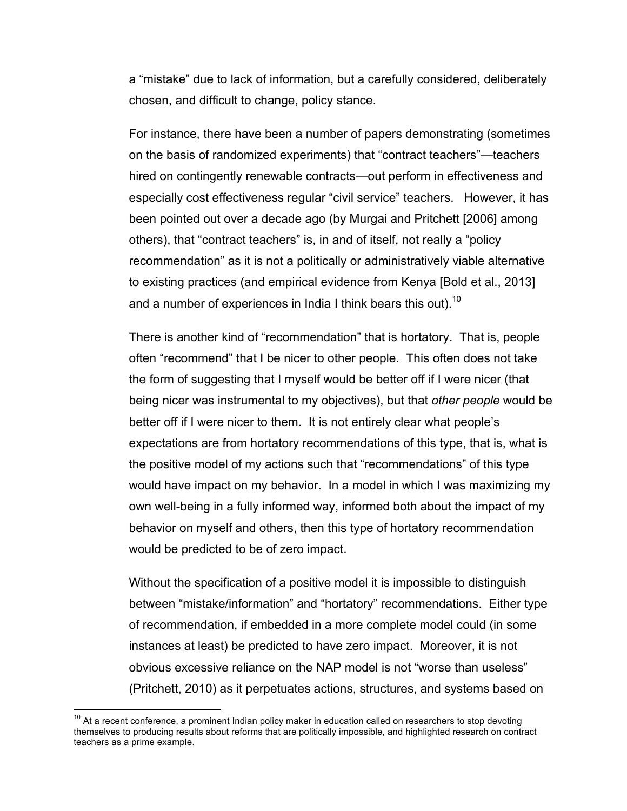a "mistake" due to lack of information, but a carefully considered, deliberately chosen, and difficult to change, policy stance.

For instance, there have been a number of papers demonstrating (sometimes on the basis of randomized experiments) that "contract teachers"—teachers hired on contingently renewable contracts—out perform in effectiveness and especially cost effectiveness regular "civil service" teachers. However, it has been pointed out over a decade ago (by Murgai and Pritchett [2006] among others), that "contract teachers" is, in and of itself, not really a "policy recommendation" as it is not a politically or administratively viable alternative to existing practices (and empirical evidence from Kenya [Bold et al., 2013] and a number of experiences in India I think bears this out).<sup>10</sup>

There is another kind of "recommendation" that is hortatory. That is, people often "recommend" that I be nicer to other people. This often does not take the form of suggesting that I myself would be better off if I were nicer (that being nicer was instrumental to my objectives), but that *other people* would be better off if I were nicer to them. It is not entirely clear what people's expectations are from hortatory recommendations of this type, that is, what is the positive model of my actions such that "recommendations" of this type would have impact on my behavior. In a model in which I was maximizing my own well-being in a fully informed way, informed both about the impact of my behavior on myself and others, then this type of hortatory recommendation would be predicted to be of zero impact.

Without the specification of a positive model it is impossible to distinguish between "mistake/information" and "hortatory" recommendations. Either type of recommendation, if embedded in a more complete model could (in some instances at least) be predicted to have zero impact. Moreover, it is not obvious excessive reliance on the NAP model is not "worse than useless" (Pritchett, 2010) as it perpetuates actions, structures, and systems based on

 $10$  At a recent conference, a prominent Indian policy maker in education called on researchers to stop devoting themselves to producing results about reforms that are politically impossible, and highlighted research on contract teachers as a prime example.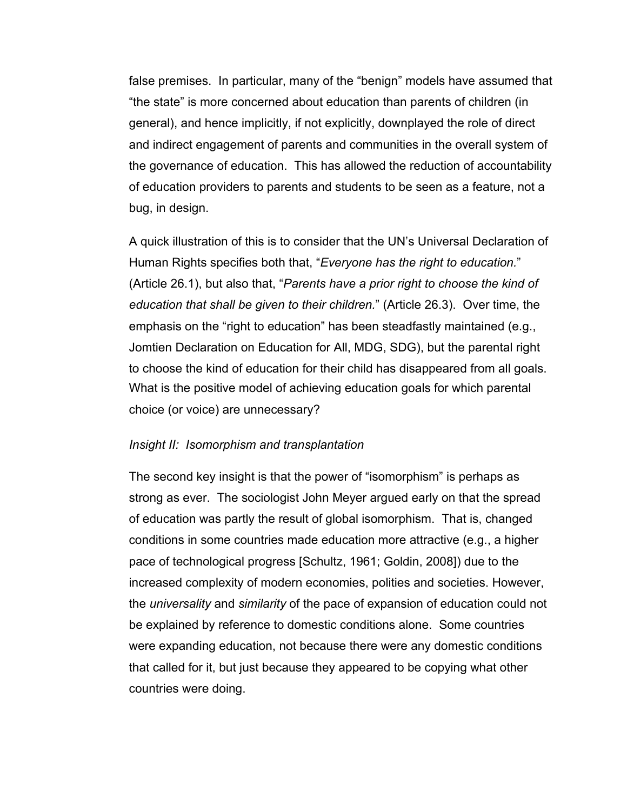false premises. In particular, many of the "benign" models have assumed that "the state" is more concerned about education than parents of children (in general), and hence implicitly, if not explicitly, downplayed the role of direct and indirect engagement of parents and communities in the overall system of the governance of education. This has allowed the reduction of accountability of education providers to parents and students to be seen as a feature, not a bug, in design.

A quick illustration of this is to consider that the UN's Universal Declaration of Human Rights specifies both that, "*Everyone has the right to education.*" (Article 26.1), but also that, "*Parents have a prior right to choose the kind of education that shall be given to their children.*" (Article 26.3). Over time, the emphasis on the "right to education" has been steadfastly maintained (e.g., Jomtien Declaration on Education for All, MDG, SDG), but the parental right to choose the kind of education for their child has disappeared from all goals. What is the positive model of achieving education goals for which parental choice (or voice) are unnecessary?

### *Insight II: Isomorphism and transplantation*

The second key insight is that the power of "isomorphism" is perhaps as strong as ever. The sociologist John Meyer argued early on that the spread of education was partly the result of global isomorphism. That is, changed conditions in some countries made education more attractive (e.g., a higher pace of technological progress [Schultz, 1961; Goldin, 2008]) due to the increased complexity of modern economies, polities and societies. However, the *universality* and *similarity* of the pace of expansion of education could not be explained by reference to domestic conditions alone. Some countries were expanding education, not because there were any domestic conditions that called for it, but just because they appeared to be copying what other countries were doing.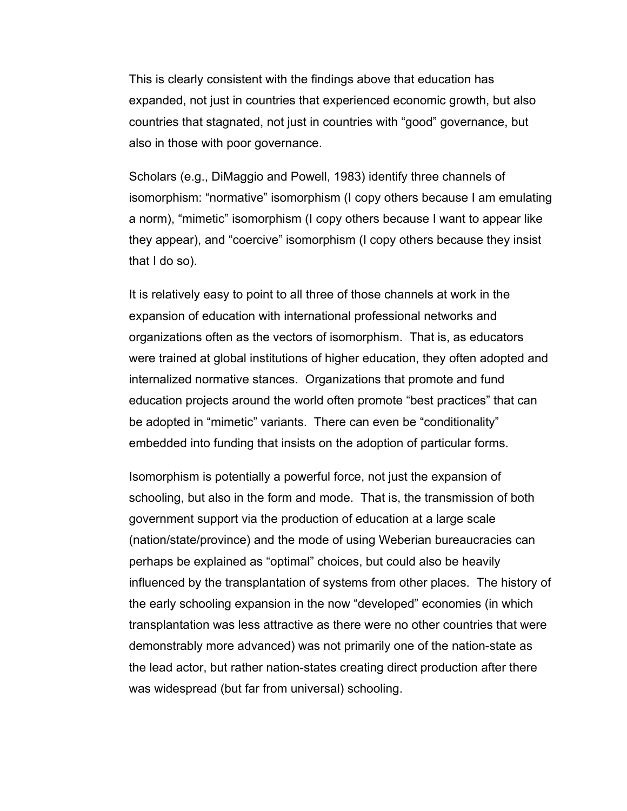This is clearly consistent with the findings above that education has expanded, not just in countries that experienced economic growth, but also countries that stagnated, not just in countries with "good" governance, but also in those with poor governance.

Scholars (e.g., DiMaggio and Powell, 1983) identify three channels of isomorphism: "normative" isomorphism (I copy others because I am emulating a norm), "mimetic" isomorphism (I copy others because I want to appear like they appear), and "coercive" isomorphism (I copy others because they insist that I do so).

It is relatively easy to point to all three of those channels at work in the expansion of education with international professional networks and organizations often as the vectors of isomorphism. That is, as educators were trained at global institutions of higher education, they often adopted and internalized normative stances. Organizations that promote and fund education projects around the world often promote "best practices" that can be adopted in "mimetic" variants. There can even be "conditionality" embedded into funding that insists on the adoption of particular forms.

Isomorphism is potentially a powerful force, not just the expansion of schooling, but also in the form and mode. That is, the transmission of both government support via the production of education at a large scale (nation/state/province) and the mode of using Weberian bureaucracies can perhaps be explained as "optimal" choices, but could also be heavily influenced by the transplantation of systems from other places. The history of the early schooling expansion in the now "developed" economies (in which transplantation was less attractive as there were no other countries that were demonstrably more advanced) was not primarily one of the nation-state as the lead actor, but rather nation-states creating direct production after there was widespread (but far from universal) schooling.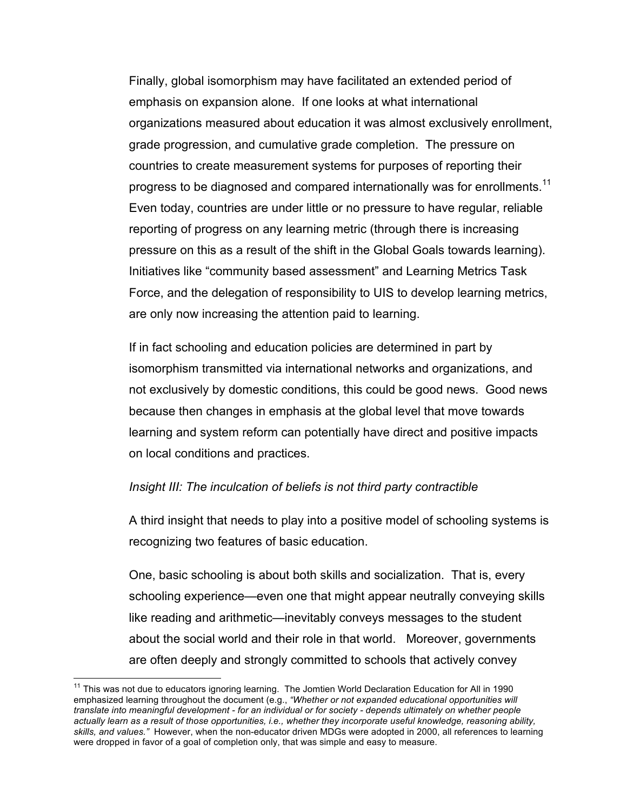Finally, global isomorphism may have facilitated an extended period of emphasis on expansion alone. If one looks at what international organizations measured about education it was almost exclusively enrollment, grade progression, and cumulative grade completion. The pressure on countries to create measurement systems for purposes of reporting their progress to be diagnosed and compared internationally was for enrollments.<sup>11</sup> Even today, countries are under little or no pressure to have regular, reliable reporting of progress on any learning metric (through there is increasing pressure on this as a result of the shift in the Global Goals towards learning). Initiatives like "community based assessment" and Learning Metrics Task Force, and the delegation of responsibility to UIS to develop learning metrics, are only now increasing the attention paid to learning.

If in fact schooling and education policies are determined in part by isomorphism transmitted via international networks and organizations, and not exclusively by domestic conditions, this could be good news. Good news because then changes in emphasis at the global level that move towards learning and system reform can potentially have direct and positive impacts on local conditions and practices.

#### *Insight III: The inculcation of beliefs is not third party contractible*

A third insight that needs to play into a positive model of schooling systems is recognizing two features of basic education.

One, basic schooling is about both skills and socialization. That is, every schooling experience—even one that might appear neutrally conveying skills like reading and arithmetic—inevitably conveys messages to the student about the social world and their role in that world. Moreover, governments are often deeply and strongly committed to schools that actively convey

<sup>&</sup>lt;sup>11</sup> This was not due to educators ignoring learning. The Jomtien World Declaration Education for All in 1990 emphasized learning throughout the document (e.g., *"Whether or not expanded educational opportunities will translate into meaningful development - for an individual or for society - depends ultimately on whether people actually learn as a result of those opportunities, i.e., whether they incorporate useful knowledge, reasoning ability, skills, and values."* However, when the non-educator driven MDGs were adopted in 2000, all references to learning were dropped in favor of a goal of completion only, that was simple and easy to measure.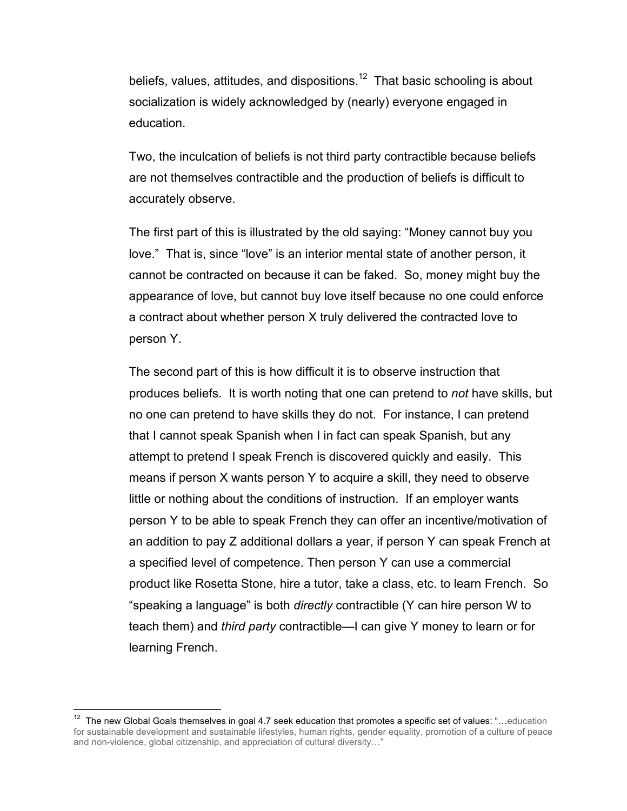beliefs, values, attitudes, and dispositions.<sup>12</sup> That basic schooling is about socialization is widely acknowledged by (nearly) everyone engaged in education.

Two, the inculcation of beliefs is not third party contractible because beliefs are not themselves contractible and the production of beliefs is difficult to accurately observe.

The first part of this is illustrated by the old saying: "Money cannot buy you love." That is, since "love" is an interior mental state of another person, it cannot be contracted on because it can be faked. So, money might buy the appearance of love, but cannot buy love itself because no one could enforce a contract about whether person X truly delivered the contracted love to person Y.

The second part of this is how difficult it is to observe instruction that produces beliefs. It is worth noting that one can pretend to *not* have skills, but no one can pretend to have skills they do not. For instance, I can pretend that I cannot speak Spanish when I in fact can speak Spanish, but any attempt to pretend I speak French is discovered quickly and easily. This means if person X wants person Y to acquire a skill, they need to observe little or nothing about the conditions of instruction. If an employer wants person Y to be able to speak French they can offer an incentive/motivation of an addition to pay Z additional dollars a year, if person Y can speak French at a specified level of competence. Then person Y can use a commercial product like Rosetta Stone, hire a tutor, take a class, etc. to learn French. So "speaking a language" is both *directly* contractible (Y can hire person W to teach them) and *third party* contractible—I can give Y money to learn or for learning French.

 $12$  The new Global Goals themselves in goal 4.7 seek education that promotes a specific set of values: "...education for sustainable development and sustainable lifestyles, human rights, gender equality, promotion of a culture of peace and non-violence, global citizenship, and appreciation of cultural diversity…"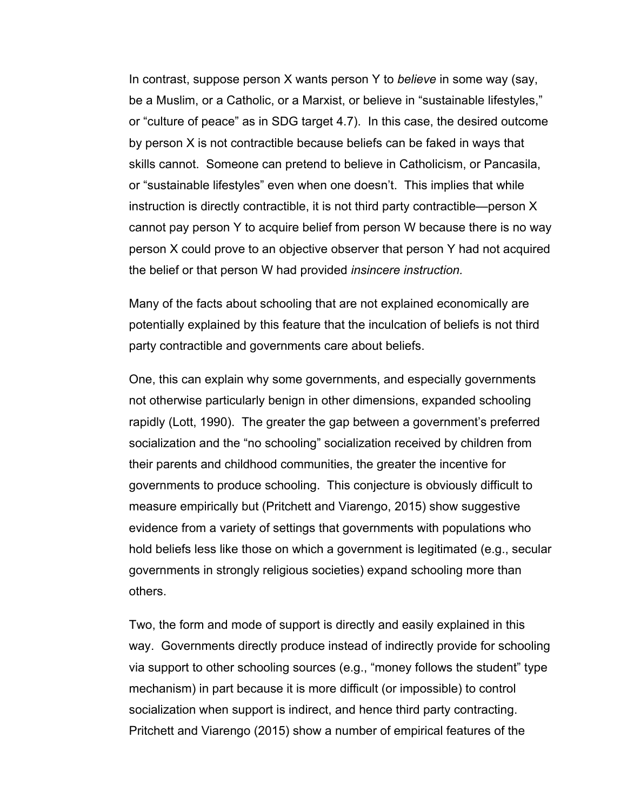In contrast, suppose person X wants person Y to *believe* in some way (say, be a Muslim, or a Catholic, or a Marxist, or believe in "sustainable lifestyles," or "culture of peace" as in SDG target 4.7). In this case, the desired outcome by person X is not contractible because beliefs can be faked in ways that skills cannot. Someone can pretend to believe in Catholicism, or Pancasila, or "sustainable lifestyles" even when one doesn't. This implies that while instruction is directly contractible, it is not third party contractible—person X cannot pay person Y to acquire belief from person W because there is no way person X could prove to an objective observer that person Y had not acquired the belief or that person W had provided *insincere instruction.* 

Many of the facts about schooling that are not explained economically are potentially explained by this feature that the inculcation of beliefs is not third party contractible and governments care about beliefs.

One, this can explain why some governments, and especially governments not otherwise particularly benign in other dimensions, expanded schooling rapidly (Lott, 1990). The greater the gap between a government's preferred socialization and the "no schooling" socialization received by children from their parents and childhood communities, the greater the incentive for governments to produce schooling. This conjecture is obviously difficult to measure empirically but (Pritchett and Viarengo, 2015) show suggestive evidence from a variety of settings that governments with populations who hold beliefs less like those on which a government is legitimated (e.g., secular governments in strongly religious societies) expand schooling more than others.

Two, the form and mode of support is directly and easily explained in this way. Governments directly produce instead of indirectly provide for schooling via support to other schooling sources (e.g., "money follows the student" type mechanism) in part because it is more difficult (or impossible) to control socialization when support is indirect, and hence third party contracting. Pritchett and Viarengo (2015) show a number of empirical features of the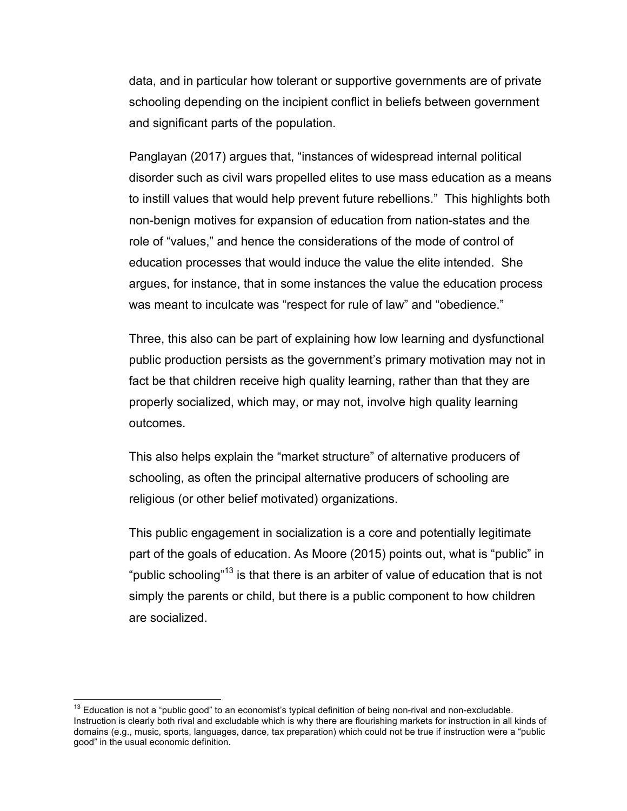data, and in particular how tolerant or supportive governments are of private schooling depending on the incipient conflict in beliefs between government and significant parts of the population.

Panglayan (2017) argues that, "instances of widespread internal political disorder such as civil wars propelled elites to use mass education as a means to instill values that would help prevent future rebellions." This highlights both non-benign motives for expansion of education from nation-states and the role of "values," and hence the considerations of the mode of control of education processes that would induce the value the elite intended. She argues, for instance, that in some instances the value the education process was meant to inculcate was "respect for rule of law" and "obedience."

Three, this also can be part of explaining how low learning and dysfunctional public production persists as the government's primary motivation may not in fact be that children receive high quality learning, rather than that they are properly socialized, which may, or may not, involve high quality learning outcomes.

This also helps explain the "market structure" of alternative producers of schooling, as often the principal alternative producers of schooling are religious (or other belief motivated) organizations.

This public engagement in socialization is a core and potentially legitimate part of the goals of education. As Moore (2015) points out, what is "public" in "public schooling"<sup>13</sup> is that there is an arbiter of value of education that is not simply the parents or child, but there is a public component to how children are socialized.

 $13$  Education is not a "public good" to an economist's typical definition of being non-rival and non-excludable. Instruction is clearly both rival and excludable which is why there are flourishing markets for instruction in all kinds of domains (e.g., music, sports, languages, dance, tax preparation) which could not be true if instruction were a "public good" in the usual economic definition.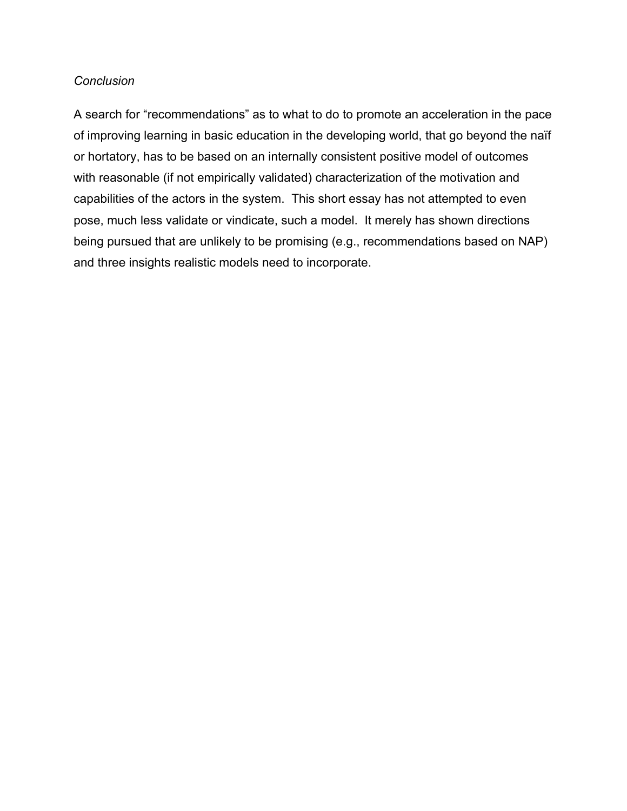#### *Conclusion*

A search for "recommendations" as to what to do to promote an acceleration in the pace of improving learning in basic education in the developing world, that go beyond the naïf or hortatory, has to be based on an internally consistent positive model of outcomes with reasonable (if not empirically validated) characterization of the motivation and capabilities of the actors in the system. This short essay has not attempted to even pose, much less validate or vindicate, such a model. It merely has shown directions being pursued that are unlikely to be promising (e.g., recommendations based on NAP) and three insights realistic models need to incorporate.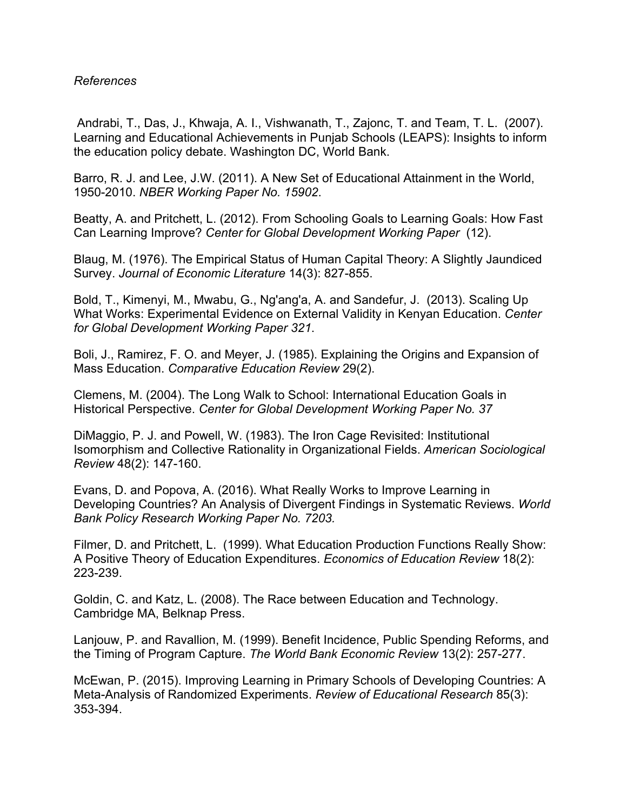### *References*

Andrabi, T., Das, J., Khwaja, A. I., Vishwanath, T., Zajonc, T. and Team, T. L. (2007). Learning and Educational Achievements in Punjab Schools (LEAPS): Insights to inform the education policy debate. Washington DC, World Bank.

Barro, R. J. and Lee, J.W. (2011). A New Set of Educational Attainment in the World, 1950-2010. *NBER Working Paper No. 15902*.

Beatty, A. and Pritchett, L. (2012). From Schooling Goals to Learning Goals: How Fast Can Learning Improve? *Center for Global Development Working Paper* (12).

Blaug, M. (1976). The Empirical Status of Human Capital Theory: A Slightly Jaundiced Survey. *Journal of Economic Literature* 14(3): 827-855.

Bold, T., Kimenyi, M., Mwabu, G., Ng'ang'a, A. and Sandefur, J. (2013). Scaling Up What Works: Experimental Evidence on External Validity in Kenyan Education. *Center for Global Development Working Paper 321*.

Boli, J., Ramirez, F. O. and Meyer, J. (1985). Explaining the Origins and Expansion of Mass Education. *Comparative Education Review* 29(2).

Clemens, M. (2004). The Long Walk to School: International Education Goals in Historical Perspective. *Center for Global Development Working Paper No. 37*

DiMaggio, P. J. and Powell, W. (1983). The Iron Cage Revisited: Institutional Isomorphism and Collective Rationality in Organizational Fields. *American Sociological Review* 48(2): 147-160.

Evans, D. and Popova, A. (2016). What Really Works to Improve Learning in Developing Countries? An Analysis of Divergent Findings in Systematic Reviews. *World Bank Policy Research Working Paper No. 7203.*

Filmer, D. and Pritchett, L. (1999). What Education Production Functions Really Show: A Positive Theory of Education Expenditures. *Economics of Education Review* 18(2): 223-239.

Goldin, C. and Katz, L. (2008). The Race between Education and Technology. Cambridge MA, Belknap Press.

Lanjouw, P. and Ravallion, M. (1999). Benefit Incidence, Public Spending Reforms, and the Timing of Program Capture. *The World Bank Economic Review* 13(2): 257-277.

McEwan, P. (2015). Improving Learning in Primary Schools of Developing Countries: A Meta-Analysis of Randomized Experiments. *Review of Educational Research* 85(3): 353-394.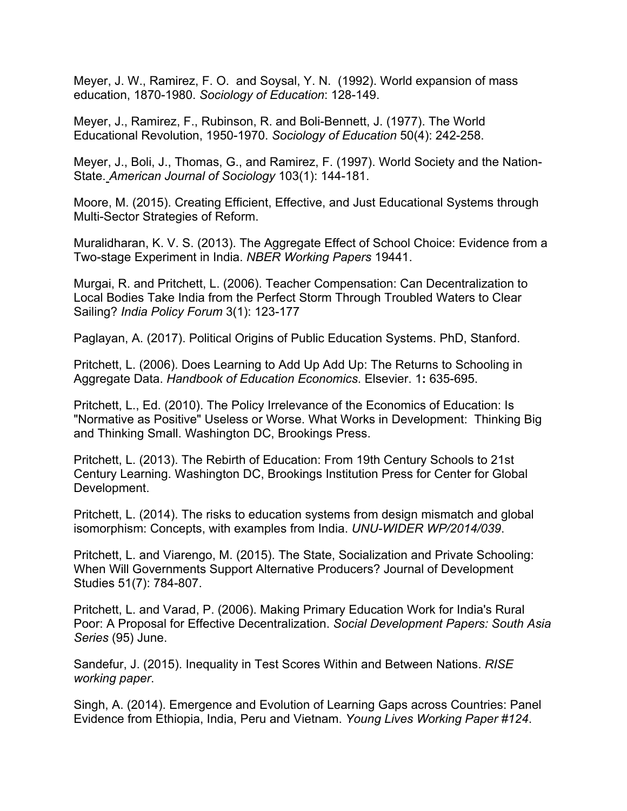Meyer, J. W., Ramirez, F. O. and Soysal, Y. N. (1992). World expansion of mass education, 1870-1980. *Sociology of Education*: 128-149.

Meyer, J., Ramirez, F., Rubinson, R. and Boli-Bennett, J. (1977). The World Educational Revolution, 1950-1970. *Sociology of Education* 50(4): 242-258.

Meyer, J., Boli, J., Thomas, G., and Ramirez, F. (1997). World Society and the Nation-State. *American Journal of Sociology* 103(1): 144-181.

Moore, M. (2015). Creating Efficient, Effective, and Just Educational Systems through Multi-Sector Strategies of Reform.

Muralidharan, K. V. S. (2013). The Aggregate Effect of School Choice: Evidence from a Two-stage Experiment in India. *NBER Working Papers* 19441.

Murgai, R. and Pritchett, L. (2006). Teacher Compensation: Can Decentralization to Local Bodies Take India from the Perfect Storm Through Troubled Waters to Clear Sailing? *India Policy Forum* 3(1): 123-177

Paglayan, A. (2017). Political Origins of Public Education Systems. PhD, Stanford.

Pritchett, L. (2006). Does Learning to Add Up Add Up: The Returns to Schooling in Aggregate Data. *Handbook of Education Economics*. Elsevier. 1**:** 635-695.

Pritchett, L., Ed. (2010). The Policy Irrelevance of the Economics of Education: Is "Normative as Positive" Useless or Worse. What Works in Development: Thinking Big and Thinking Small. Washington DC, Brookings Press.

Pritchett, L. (2013). The Rebirth of Education: From 19th Century Schools to 21st Century Learning. Washington DC, Brookings Institution Press for Center for Global Development.

Pritchett, L. (2014). The risks to education systems from design mismatch and global isomorphism: Concepts, with examples from India. *UNU-WIDER WP/2014/039*.

Pritchett, L. and Viarengo, M. (2015). The State, Socialization and Private Schooling: When Will Governments Support Alternative Producers? Journal of Development Studies 51(7): 784-807.

Pritchett, L. and Varad, P. (2006). Making Primary Education Work for India's Rural Poor: A Proposal for Effective Decentralization. *Social Development Papers: South Asia Series* (95) June.

Sandefur, J. (2015). Inequality in Test Scores Within and Between Nations. *RISE working paper*.

Singh, A. (2014). Emergence and Evolution of Learning Gaps across Countries: Panel Evidence from Ethiopia, India, Peru and Vietnam. *Young Lives Working Paper #124*.